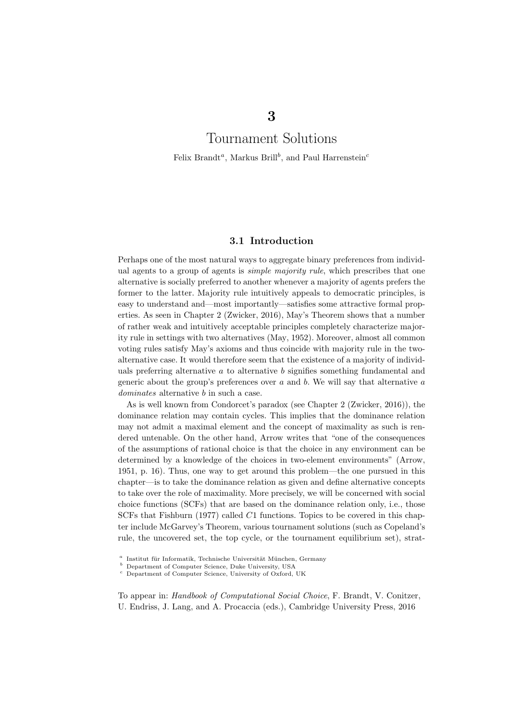# Tournament Solutions

Felix Brandt<sup>a</sup>, Markus Brill<sup>b</sup>, and Paul Harrenstein<sup>c</sup>

# 3.1 Introduction

Perhaps one of the most natural ways to aggregate binary preferences from individual agents to a group of agents is *simple majority rule*, which prescribes that one alternative is socially preferred to another whenever a majority of agents prefers the former to the latter. Majority rule intuitively appeals to democratic principles, is easy to understand and—most importantly—satisfies some attractive formal properties. As seen in Chapter 2 (Zwicker, 2016), May's Theorem shows that a number of rather weak and intuitively acceptable principles completely characterize majority rule in settings with two alternatives (May, 1952). Moreover, almost all common voting rules satisfy May's axioms and thus coincide with majority rule in the twoalternative case. It would therefore seem that the existence of a majority of individuals preferring alternative  $a$  to alternative  $b$  signifies something fundamental and generic about the group's preferences over  $a$  and  $b$ . We will say that alternative  $a$ dominates alternative b in such a case.

As is well known from Condorcet's paradox (see Chapter 2 (Zwicker, 2016)), the dominance relation may contain cycles. This implies that the dominance relation may not admit a maximal element and the concept of maximality as such is rendered untenable. On the other hand, Arrow writes that "one of the consequences of the assumptions of rational choice is that the choice in any environment can be determined by a knowledge of the choices in two-element environments" (Arrow, 1951, p. 16). Thus, one way to get around this problem—the one pursued in this chapter—is to take the dominance relation as given and define alternative concepts to take over the role of maximality. More precisely, we will be concerned with social choice functions (SCFs) that are based on the dominance relation only, i.e., those SCFs that Fishburn (1977) called C1 functions. Topics to be covered in this chapter include McGarvey's Theorem, various tournament solutions (such as Copeland's rule, the uncovered set, the top cycle, or the tournament equilibrium set), strat-

To appear in: Handbook of Computational Social Choice, F. Brandt, V. Conitzer, U. Endriss, J. Lang, and A. Procaccia (eds.), Cambridge University Press, 2016

<sup>&</sup>lt;sup>a</sup> Institut für Informatik, Technische Universität München, Germany

 $\sp{b}$  Department of Computer Science, Duke University, USA

<sup>c</sup> Department of Computer Science, University of Oxford, UK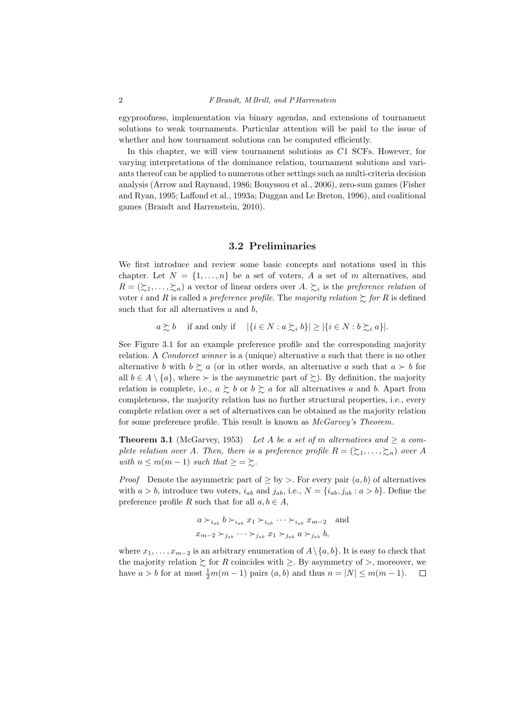egyproofness, implementation via binary agendas, and extensions of tournament solutions to weak tournaments. Particular attention will be paid to the issue of whether and how tournament solutions can be computed efficiently.

In this chapter, we will view tournament solutions as  $C1$  SCFs. However, for varying interpretations of the dominance relation, tournament solutions and variants thereof can be applied to numerous other settings such as multi-criteria decision analysis (Arrow and Raynaud, 1986; Bouyssou et al., 2006), zero-sum games (Fisher and Ryan, 1995; Laffond et al., 1993a; Duggan and Le Breton, 1996), and coalitional games (Brandt and Harrenstein, 2010).

## 3.2 Preliminaries

We first introduce and review some basic concepts and notations used in this chapter. Let  $N = \{1, \ldots, n\}$  be a set of voters, A a set of m alternatives, and  $R = (\succcurlyeq_1, \ldots, \succcurlyeq_n)$  a vector of linear orders over A.  $\succsim_i$  is the preference relation of voter i and R is called a preference profile. The majority relation  $\gtrsim$  for R is defined such that for all alternatives  $a$  and  $b$ ,

 $a \succsim b$  if and only if  $|\{i \in N : a \succsim_i b\}| \geq |\{i \in N : b \succsim_i a\}|.$ 

See Figure 3.1 for an example preference profile and the corresponding majority relation. A Condorcet winner is a (unique) alternative a such that there is no other alternative b with  $b \gtrsim a$  (or in other words, an alternative a such that  $a \succ b$  for all  $b \in A \setminus \{a\}$ , where  $\succ$  is the asymmetric part of  $\succsim$ ). By definition, the majority relation is complete, i.e.,  $a \succeq b$  or  $b \succeq a$  for all alternatives a and b. Apart from completeness, the majority relation has no further structural properties, i.e., every complete relation over a set of alternatives can be obtained as the majority relation for some preference profile. This result is known as McGarvey's Theorem.

**Theorem 3.1** (McGarvey, 1953) Let A be a set of m alternatives and  $\geq a$  complete relation over A. Then, there is a preference profile  $R = (\xi_1, \ldots, \xi_n)$  over A with  $n \leq m(m-1)$  such that  $\geq \geq \geq$ .

*Proof* Denote the asymmetric part of  $\geq$  by  $>$ . For every pair  $(a, b)$  of alternatives with  $a > b$ , introduce two voters,  $i_{ab}$  and  $j_{ab}$ , i.e.,  $N = \{i_{ab}, j_{ab} : a > b\}$ . Define the preference profile R such that for all  $a, b \in A$ ,

$$
a \succ_{i_{ab}} b \succ_{i_{ab}} x_1 \succ_{i_{ab}} \cdots \succ_{i_{ab}} x_{m-2}
$$
 and  
 $x_{m-2} \succ_{j_{ab}} \cdots \succ_{j_{ab}} x_1 \succ_{j_{ab}} a \succ_{j_{ab}} b$ ,

where  $x_1, \ldots, x_{m-2}$  is an arbitrary enumeration of  $A \setminus \{a, b\}$ . It is easy to check that the majority relation  $\succeq$  for R coincides with  $\geq$ . By asymmetry of  $\gt$ , moreover, we have  $a > b$  for at most  $\frac{1}{2}m(m-1)$  pairs  $(a, b)$  and thus  $n = |N| \le m(m-1)$ .  $\Box$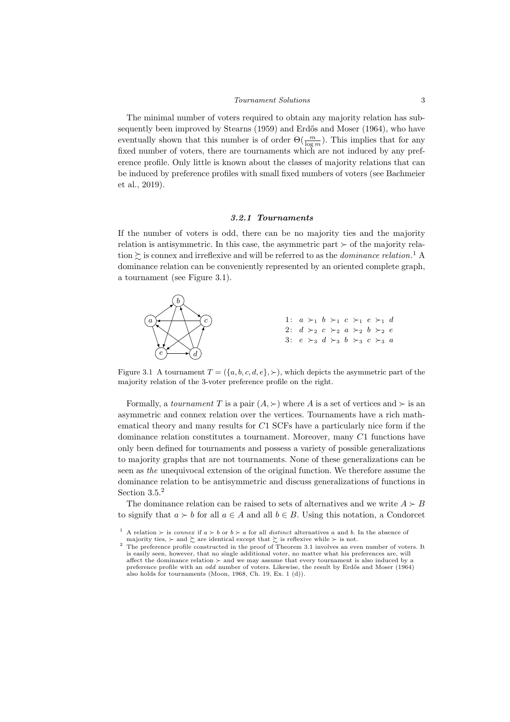#### Tournament Solutions 3

The minimal number of voters required to obtain any majority relation has subsequently been improved by Stearns (1959) and Erdős and Moser (1964), who have eventually shown that this number is of order  $\Theta(\frac{m}{\log m})$ . This implies that for any fixed number of voters, there are tournaments which are not induced by any preference profile. Only little is known about the classes of majority relations that can be induced by preference profiles with small fixed numbers of voters (see Bachmeier et al., 2019).

#### 3.2.1 Tournaments

If the number of voters is odd, there can be no majority ties and the majority relation is antisymmetric. In this case, the asymmetric part  $\succ$  of the majority relation  $\succsim$  is connex and irreflexive and will be referred to as the *dominance relation*.<sup>1</sup> A dominance relation can be conveniently represented by an oriented complete graph, a tournament (see Figure 3.1).



Figure 3.1 A tournament  $T = (\{a, b, c, d, e\}, \succ)$ , which depicts the asymmetric part of the majority relation of the 3-voter preference profile on the right.

Formally, a *tournament* T is a pair  $(A, \succ)$  where A is a set of vertices and  $\succ$  is an asymmetric and connex relation over the vertices. Tournaments have a rich mathematical theory and many results for C1 SCFs have a particularly nice form if the dominance relation constitutes a tournament. Moreover, many C1 functions have only been defined for tournaments and possess a variety of possible generalizations to majority graphs that are not tournaments. None of these generalizations can be seen as the unequivocal extension of the original function. We therefore assume the dominance relation to be antisymmetric and discuss generalizations of functions in Section 3.5.<sup>2</sup>

The dominance relation can be raised to sets of alternatives and we write  $A \succ B$ to signify that  $a \succ b$  for all  $a \in A$  and all  $b \in B$ . Using this notation, a Condorcet

A relation  $\succ$  is connex if  $a \succ b$  or  $b \succ a$  for all distinct alternatives a and b. In the absence of majority ties,  $\succ$  and  $\succsim$  are identical except that  $\succsim$  is reflexive while  $\succ$  is not.

 $2\text{ }$  The preference profile constructed in the proof of Theorem 3.1 involves an even number of voters. It is easily seen, however, that no single additional voter, no matter what his preferences are, will affect the dominance relation  $\succ$  and we may assume that every tournament is also induced by a preference profile with an odd number of voters. Likewise, the result by Erdős and Moser (1964) also holds for tournaments (Moon, 1968, Ch. 19, Ex. 1 (d)).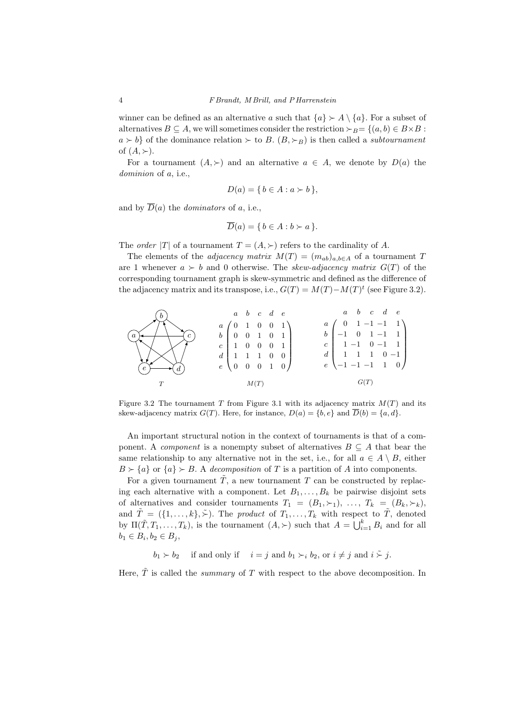winner can be defined as an alternative a such that  $\{a\} \succ A \setminus \{a\}$ . For a subset of alternatives  $B \subseteq A$ , we will sometimes consider the restriction  $\succ_B = \{(a, b) \in B \times B :$  $a \succ b$  of the dominance relation  $\succ$  to B.  $(B, \succ_B)$  is then called a *subtournament* of  $(A, \succ)$ .

For a tournament  $(A, \succ)$  and an alternative  $a \in A$ , we denote by  $D(a)$  the dominion of a, i.e.,

$$
D(a) = \{ b \in A : a \succ b \},
$$

and by  $\overline{D}(a)$  the *dominators* of a, i.e.,

$$
\overline{D}(a) = \{ b \in A : b \succ a \}.
$$

The *order* |T| of a tournament  $T = (A, \succ)$  refers to the cardinality of A.

The elements of the *adjacency matrix*  $M(T) = (m_{ab})_{a,b \in A}$  of a tournament T are 1 whenever  $a \succ b$  and 0 otherwise. The skew-adjacency matrix  $G(T)$  of the corresponding tournament graph is skew-symmetric and defined as the difference of the adjacency matrix and its transpose, i.e.,  $G(T) = M(T) - M(T)^t$  (see Figure 3.2).



Figure 3.2 The tournament T from Figure 3.1 with its adjacency matrix  $M(T)$  and its skew-adjacency matrix  $G(T)$ . Here, for instance,  $D(a) = \{b, e\}$  and  $\overline{D}(b) = \{a, d\}$ .

An important structural notion in the context of tournaments is that of a component. A *component* is a nonempty subset of alternatives  $B \subseteq A$  that bear the same relationship to any alternative not in the set, i.e., for all  $a \in A \setminus B$ , either  $B \succ \{a\}$  or  $\{a\} \succ B$ . A decomposition of T is a partition of A into components.

For a given tournament  $\tilde{T}$ , a new tournament T can be constructed by replacing each alternative with a component. Let  $B_1, \ldots, B_k$  be pairwise disjoint sets of alternatives and consider tournaments  $T_1 = (B_1, \succ_1), \ldots, T_k = (B_k, \succ_k),$ and  $\tilde{T} = (\{1, \ldots, k\}, \tilde{\succ})$ . The product of  $T_1, \ldots, T_k$  with respect to  $\tilde{T}$ , denoted by  $\Pi(\tilde{T}, T_1, \ldots, T_k)$ , is the tournament  $(A, \succ)$  such that  $A = \bigcup_{i=1}^k B_i$  and for all  $b_1 \in B_i, b_2 \in B_j,$ 

 $b_1 \succ b_2$  if and only if  $i = j$  and  $b_1 \succ_i b_2$ , or  $i \neq j$  and  $i \stackrel{\sim}{\succ} j$ .

Here,  $\tilde{T}$  is called the *summary* of T with respect to the above decomposition. In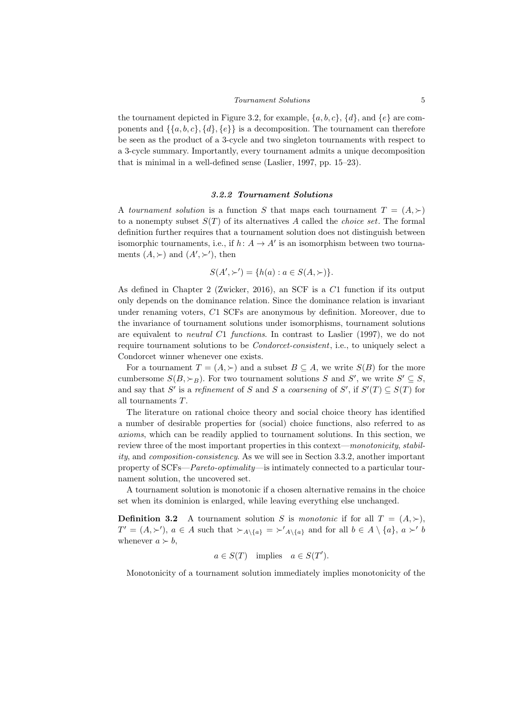the tournament depicted in Figure 3.2, for example,  $\{a, b, c\}$ ,  $\{d\}$ , and  $\{e\}$  are components and  $\{\{a, b, c\}, \{d\}, \{e\}\}\$ is a decomposition. The tournament can therefore be seen as the product of a 3-cycle and two singleton tournaments with respect to a 3-cycle summary. Importantly, every tournament admits a unique decomposition that is minimal in a well-defined sense (Laslier, 1997, pp. 15–23).

## 3.2.2 Tournament Solutions

A tournament solution is a function S that maps each tournament  $T = (A, \succ)$ to a nonempty subset  $S(T)$  of its alternatives A called the *choice set*. The formal definition further requires that a tournament solution does not distinguish between isomorphic tournaments, i.e., if  $h: A \to A'$  is an isomorphism between two tournaments  $(A, \succ)$  and  $(A', \succ')$ , then

$$
S(A', \succ') = \{h(a) : a \in S(A, \succ)\}.
$$

As defined in Chapter 2 (Zwicker, 2016), an SCF is a C1 function if its output only depends on the dominance relation. Since the dominance relation is invariant under renaming voters, C1 SCFs are anonymous by definition. Moreover, due to the invariance of tournament solutions under isomorphisms, tournament solutions are equivalent to *neutral*  $C1$  functions. In contrast to Laslier (1997), we do not require tournament solutions to be Condorcet-consistent, i.e., to uniquely select a Condorcet winner whenever one exists.

For a tournament  $T = (A, \succ)$  and a subset  $B \subseteq A$ , we write  $S(B)$  for the more cumbersome  $S(B, \succ_B)$ . For two tournament solutions S and S', we write  $S' \subseteq S$ , and say that S' is a refinement of S and S a coarsening of S', if  $S'(T) \subseteq S(T)$  for all tournaments T.

The literature on rational choice theory and social choice theory has identified a number of desirable properties for (social) choice functions, also referred to as axioms, which can be readily applied to tournament solutions. In this section, we review three of the most important properties in this context—monotonicity, stability, and composition-consistency. As we will see in Section 3.3.2, another important property of SCFs—Pareto-optimality—is intimately connected to a particular tournament solution, the uncovered set.

A tournament solution is monotonic if a chosen alternative remains in the choice set when its dominion is enlarged, while leaving everything else unchanged.

**Definition 3.2** A tournament solution S is monotonic if for all  $T = (A, \succ),$  $T' = (A, \succ'), a \in A$  such that  $\succ_{A \setminus \{a\}} = \succ'_{A \setminus \{a\}}$  and for all  $b \in A \setminus \{a\}, a \succ' b$ whenever  $a \succ b$ ,

 $a \in S(T)$  implies  $a \in S(T')$ .

Monotonicity of a tournament solution immediately implies monotonicity of the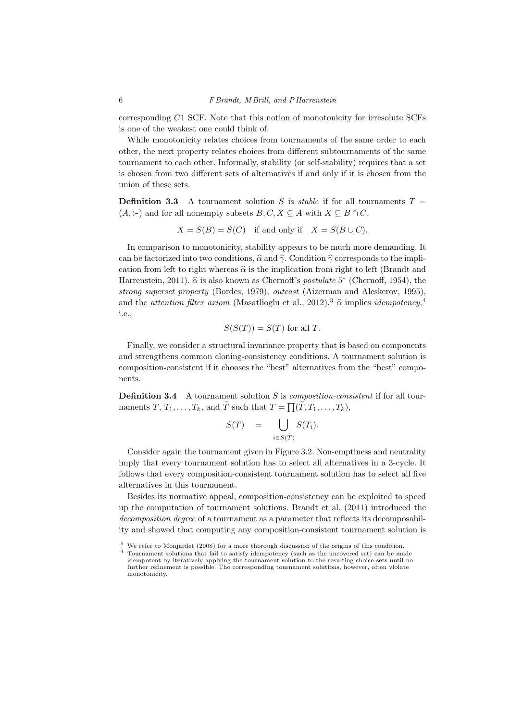corresponding C1 SCF. Note that this notion of monotonicity for irresolute SCFs is one of the weakest one could think of.

While monotonicity relates choices from tournaments of the same order to each other, the next property relates choices from different subtournaments of the same tournament to each other. Informally, stability (or self-stability) requires that a set is chosen from two different sets of alternatives if and only if it is chosen from the union of these sets.

**Definition 3.3** A tournament solution S is *stable* if for all tournaments  $T =$  $(A, \succ)$  and for all nonempty subsets  $B, C, X \subseteq A$  with  $X \subseteq B \cap C$ ,

$$
X = S(B) = S(C) \quad \text{if and only if} \quad X = S(B \cup C).
$$

In comparison to monotonicity, stability appears to be much more demanding. It can be factorized into two conditions,  $\hat{\alpha}$  and  $\hat{\gamma}$ . Condition  $\hat{\gamma}$  corresponds to the implication from left to right whereas  $\hat{\alpha}$  is the implication from right to left (Brandt and Harrenstein, 2011).  $\hat{\alpha}$  is also known as Chernoff's *postulate* 5<sup>\*</sup> (Chernoff, 1954), the strong superset property (Bordes, 1979), outcast (Aizerman and Aleskerov, 1995), and the *attention filter axiom* (Masatlioglu et al., 2012).<sup>3</sup>  $\hat{\alpha}$  implies *idempotency*,<sup>4</sup> i.e.,

$$
S(S(T)) = S(T)
$$
 for all T.

Finally, we consider a structural invariance property that is based on components and strengthens common cloning-consistency conditions. A tournament solution is composition-consistent if it chooses the "best" alternatives from the "best" components.

**Definition 3.4** A tournament solution  $S$  is *composition-consistent* if for all tournaments  $T, T_1, \ldots, T_k$ , and  $\tilde{T}$  such that  $T = \prod(\tilde{T}, T_1, \ldots, T_k)$ ,

$$
S(T) = \bigcup_{i \in S(\tilde{T})} S(T_i).
$$

Consider again the tournament given in Figure 3.2. Non-emptiness and neutrality imply that every tournament solution has to select all alternatives in a 3-cycle. It follows that every composition-consistent tournament solution has to select all five alternatives in this tournament.

Besides its normative appeal, composition-consistency can be exploited to speed up the computation of tournament solutions. Brandt et al. (2011) introduced the decomposition degree of a tournament as a parameter that reflects its decomposability and showed that computing any composition-consistent tournament solution is

<sup>&</sup>lt;sup>3</sup> We refer to Monjardet (2008) for a more thorough discussion of the origins of this condition.

<sup>4</sup> Tournament solutions that fail to satisfy idempotency (such as the uncovered set) can be made idempotent by iteratively applying the tournament solution to the resulting choice sets until no further refinement is possible. The corresponding tournament solutions, however, often violate monotonicity.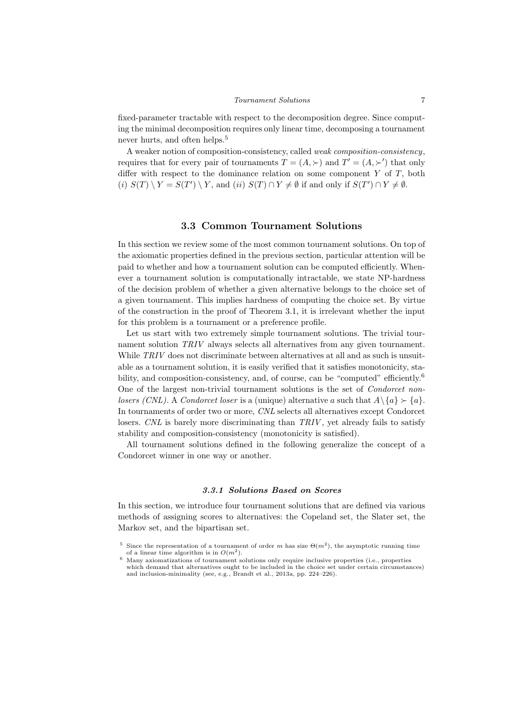fixed-parameter tractable with respect to the decomposition degree. Since computing the minimal decomposition requires only linear time, decomposing a tournament never hurts, and often helps.<sup>5</sup>

A weaker notion of composition-consistency, called weak composition-consistency, requires that for every pair of tournaments  $T = (A, \succ)$  and  $T' = (A, \succ')$  that only differ with respect to the dominance relation on some component  $Y$  of  $T$ , both (i)  $S(T) \setminus Y = S(T') \setminus Y$ , and (ii)  $S(T) \cap Y \neq \emptyset$  if and only if  $S(T') \cap Y \neq \emptyset$ .

## 3.3 Common Tournament Solutions

In this section we review some of the most common tournament solutions. On top of the axiomatic properties defined in the previous section, particular attention will be paid to whether and how a tournament solution can be computed efficiently. Whenever a tournament solution is computationally intractable, we state NP-hardness of the decision problem of whether a given alternative belongs to the choice set of a given tournament. This implies hardness of computing the choice set. By virtue of the construction in the proof of Theorem 3.1, it is irrelevant whether the input for this problem is a tournament or a preference profile.

Let us start with two extremely simple tournament solutions. The trivial tournament solution TRIV always selects all alternatives from any given tournament. While TRIV does not discriminate between alternatives at all and as such is unsuitable as a tournament solution, it is easily verified that it satisfies monotonicity, stability, and composition-consistency, and, of course, can be "computed" efficiently.<sup>6</sup> One of the largest non-trivial tournament solutions is the set of Condorcet nonlosers (CNL). A Condorcet loser is a (unique) alternative a such that  $A \setminus \{a\} \succ \{a\}$ . In tournaments of order two or more, CNL selects all alternatives except Condorcet losers. CNL is barely more discriminating than  $TRIV$ , yet already fails to satisfy stability and composition-consistency (monotonicity is satisfied).

All tournament solutions defined in the following generalize the concept of a Condorcet winner in one way or another.

#### 3.3.1 Solutions Based on Scores

In this section, we introduce four tournament solutions that are defined via various methods of assigning scores to alternatives: the Copeland set, the Slater set, the Markov set, and the bipartisan set.

<sup>&</sup>lt;sup>5</sup> Since the representation of a tournament of order m has size  $\Theta(m^2)$ , the asymptotic running time of a linear time algorithm is in  $O(m^2)$ .

<sup>6</sup> Many axiomatizations of tournament solutions only require inclusive properties (i.e., properties which demand that alternatives ought to be included in the choice set under certain circumstances) and inclusion-minimality (see, e.g., Brandt et al., 2013a, pp. 224–226).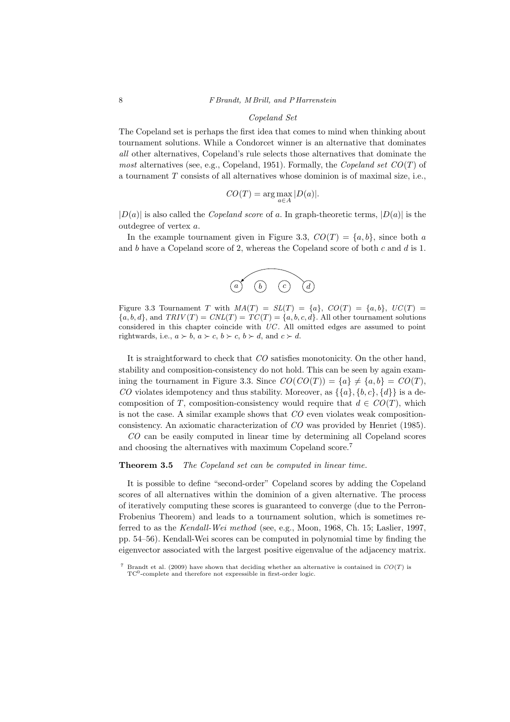## Copeland Set

The Copeland set is perhaps the first idea that comes to mind when thinking about tournament solutions. While a Condorcet winner is an alternative that dominates all other alternatives, Copeland's rule selects those alternatives that dominate the most alternatives (see, e.g., Copeland, 1951). Formally, the Copeland set  $CO(T)$  of a tournament  $T$  consists of all alternatives whose dominion is of maximal size, i.e.,

$$
CO(T) = \arg\max_{a \in A} |D(a)|.
$$

 $|D(a)|$  is also called the *Copeland score* of a. In graph-theoretic terms,  $|D(a)|$  is the outdegree of vertex a.

In the example tournament given in Figure 3.3,  $CO(T) = \{a, b\}$ , since both a and  $b$  have a Copeland score of 2, whereas the Copeland score of both  $c$  and  $d$  is 1.



Figure 3.3 Tournament T with  $MA(T) = SL(T) = \{a\}$ ,  $CO(T) = \{a, b\}$ ,  $UC(T) =$  ${a, b, d}$ , and  $TRIV(T) = CNL(T) = TC(T) = {a, b, c, d}$ . All other tournament solutions considered in this chapter coincide with  $UC$ . All omitted edges are assumed to point rightwards, i.e.,  $a \succ b$ ,  $a \succ c$ ,  $b \succ c$ ,  $b \succ d$ , and  $c \succ d$ .

It is straightforward to check that CO satisfies monotonicity. On the other hand, stability and composition-consistency do not hold. This can be seen by again examining the tournament in Figure 3.3. Since  $CO(CO(T)) = \{a\} \neq \{a, b\} = CO(T)$ , CO violates idempotency and thus stability. Moreover, as  $\{\{a\}, \{b, c\}, \{d\}\}\$ is a decomposition of T, composition-consistency would require that  $d \in CO(T)$ , which is not the case. A similar example shows that CO even violates weak compositionconsistency. An axiomatic characterization of CO was provided by Henriet (1985).

CO can be easily computed in linear time by determining all Copeland scores and choosing the alternatives with maximum Copeland score.<sup>7</sup>

### Theorem 3.5 The Copeland set can be computed in linear time.

It is possible to define "second-order" Copeland scores by adding the Copeland scores of all alternatives within the dominion of a given alternative. The process of iteratively computing these scores is guaranteed to converge (due to the Perron-Frobenius Theorem) and leads to a tournament solution, which is sometimes referred to as the Kendall-Wei method (see, e.g., Moon, 1968, Ch. 15; Laslier, 1997, pp. 54–56). Kendall-Wei scores can be computed in polynomial time by finding the eigenvector associated with the largest positive eigenvalue of the adjacency matrix.

Brandt et al. (2009) have shown that deciding whether an alternative is contained in  $CO(T)$  is TC<sup>0</sup>-complete and therefore not expressible in first-order logic.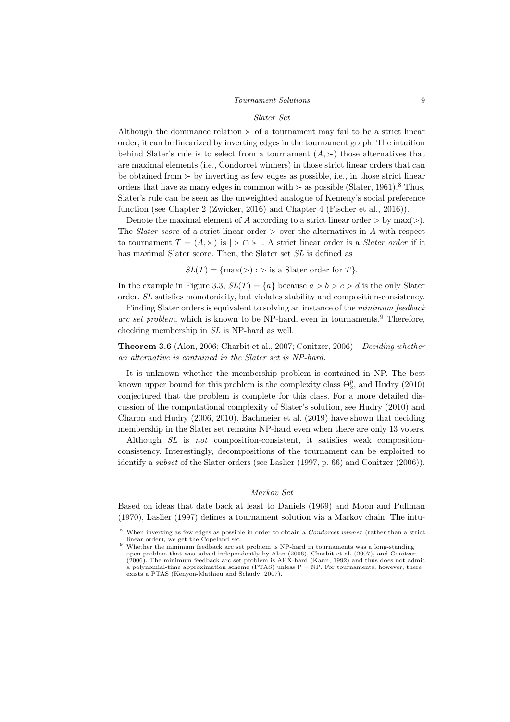#### $T_{\text{Our} \textit{namen} t \textit{Solutions}}$  9

#### Slater Set

Although the dominance relation  $\succ$  of a tournament may fail to be a strict linear order, it can be linearized by inverting edges in the tournament graph. The intuition behind Slater's rule is to select from a tournament  $(A, \succ)$  those alternatives that are maximal elements (i.e., Condorcet winners) in those strict linear orders that can be obtained from  $\succ$  by inverting as few edges as possible, i.e., in those strict linear orders that have as many edges in common with  $\succ$  as possible (Slater, 1961).<sup>8</sup> Thus, Slater's rule can be seen as the unweighted analogue of Kemeny's social preference function (see Chapter 2 (Zwicker, 2016) and Chapter 4 (Fischer et al., 2016)).

Denote the maximal element of A according to a strict linear order  $>$  by max $(>)$ . The *Slater score* of a strict linear order  $>$  over the alternatives in A with respect to tournament  $T = (A, \succ)$  is  $| \gt \cap \succ |$ . A strict linear order is a *Slater order* if it has maximal Slater score. Then, the Slater set SL is defined as

 $SL(T) = \{ \max(\geq) : \geq \text{ is a Slater order for } T \}.$ 

In the example in Figure 3.3,  $SL(T) = \{a\}$  because  $a > b > c > d$  is the only Slater order. SL satisfies monotonicity, but violates stability and composition-consistency.

Finding Slater orders is equivalent to solving an instance of the minimum feedback arc set problem, which is known to be NP-hard, even in tournaments.<sup>9</sup> Therefore, checking membership in SL is NP-hard as well.

**Theorem 3.6** (Alon, 2006; Charbit et al., 2007; Conitzer, 2006) Deciding whether an alternative is contained in the Slater set is NP-hard.

It is unknown whether the membership problem is contained in NP. The best known upper bound for this problem is the complexity class  $\Theta_2^p$ , and Hudry (2010) conjectured that the problem is complete for this class. For a more detailed discussion of the computational complexity of Slater's solution, see Hudry (2010) and Charon and Hudry (2006, 2010). Bachmeier et al. (2019) have shown that deciding membership in the Slater set remains NP-hard even when there are only 13 voters.

Although SL is not composition-consistent, it satisfies weak compositionconsistency. Interestingly, decompositions of the tournament can be exploited to identify a subset of the Slater orders (see Laslier (1997, p. 66) and Conitzer (2006)).

## Markov Set

Based on ideas that date back at least to Daniels (1969) and Moon and Pullman (1970), Laslier (1997) defines a tournament solution via a Markov chain. The intu-

<sup>&</sup>lt;sup>8</sup> When inverting as few edges as possible in order to obtain a *Condorcet winner* (rather than a strict linear order), we get the Copeland set.

<sup>9</sup> Whether the minimum feedback arc set problem is NP-hard in tournaments was a long-standing open problem that was solved independently by Alon (2006), Charbit et al. (2007), and Conitzer (2006). The minimum feedback arc set problem is APX-hard (Kann, 1992) and thus does not admit a polynomial-time approximation scheme (PTAS) unless  $P = NP$ . For tournaments, however, there exists a PTAS (Kenyon-Mathieu and Schudy, 2007).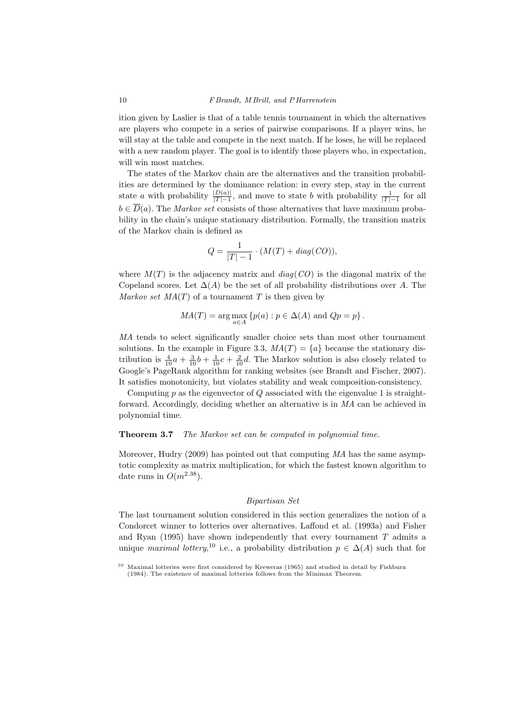ition given by Laslier is that of a table tennis tournament in which the alternatives are players who compete in a series of pairwise comparisons. If a player wins, he will stay at the table and compete in the next match. If he loses, he will be replaced with a new random player. The goal is to identify those players who, in expectation, will win most matches.

The states of the Markov chain are the alternatives and the transition probabilities are determined by the dominance relation: in every step, stay in the current state a with probability  $\frac{|D(a)|}{|T|-1}$ , and move to state b with probability  $\frac{1}{|T|-1}$  for all  $b \in \overline{D}(a)$ . The *Markov set* consists of those alternatives that have maximum probability in the chain's unique stationary distribution. Formally, the transition matrix of the Markov chain is defined as

$$
Q = \frac{1}{|T| - 1} \cdot (M(T) + diag(CO)),
$$

where  $M(T)$  is the adjacency matrix and  $diag(CO)$  is the diagonal matrix of the Copeland scores. Let  $\Delta(A)$  be the set of all probability distributions over A. The Markov set  $MA(T)$  of a tournament T is then given by

$$
MA(T) = \arg\max_{a \in A} \{p(a) : p \in \Delta(A) \text{ and } Qp = p\}.
$$

MA tends to select significantly smaller choice sets than most other tournament solutions. In the example in Figure 3.3,  $MA(T) = \{a\}$  because the stationary distribution is  $\frac{4}{10}a + \frac{3}{10}b + \frac{1}{10}c + \frac{2}{10}d$ . The Markov solution is also closely related to Google's PageRank algorithm for ranking websites (see Brandt and Fischer, 2007). It satisfies monotonicity, but violates stability and weak composition-consistency.

Computing  $p$  as the eigenvector of  $Q$  associated with the eigenvalue 1 is straightforward. Accordingly, deciding whether an alternative is in MA can be achieved in polynomial time.

## Theorem 3.7 The Markov set can be computed in polynomial time.

Moreover, Hudry (2009) has pointed out that computing MA has the same asymptotic complexity as matrix multiplication, for which the fastest known algorithm to date runs in  $O(m^{2.38})$ .

## Bipartisan Set

The last tournament solution considered in this section generalizes the notion of a Condorcet winner to lotteries over alternatives. Laffond et al. (1993a) and Fisher and Ryan  $(1995)$  have shown independently that every tournament T admits a unique maximal lottery,<sup>10</sup> i.e., a probability distribution  $p \in \Delta(A)$  such that for

<sup>10</sup> Maximal lotteries were first considered by Kreweras (1965) and studied in detail by Fishburn (1984). The existence of maximal lotteries follows from the Minimax Theorem.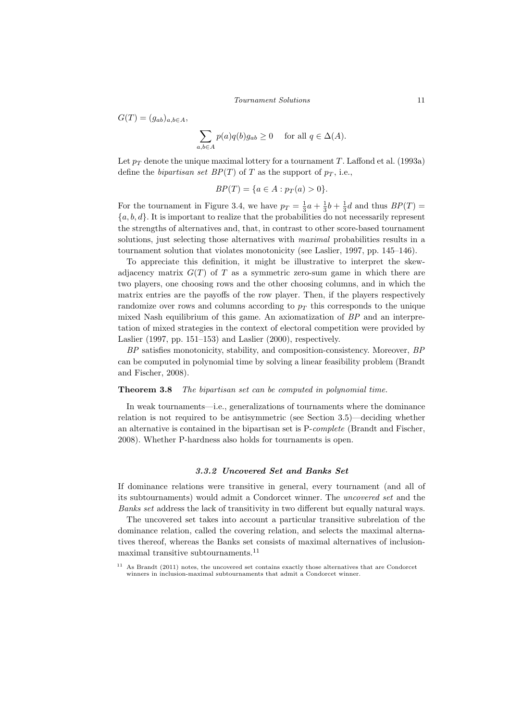$G(T) = (q_{ab})_{a, b \in A}$ 

$$
\sum_{a,b \in A} p(a)q(b)g_{ab} \ge 0 \quad \text{ for all } q \in \Delta(A).
$$

Let  $p_T$  denote the unique maximal lottery for a tournament T. Laffond et al. (1993a) define the bipartisan set  $BP(T)$  of T as the support of  $p_T$ , i.e.,

$$
BP(T) = \{a \in A : p_T(a) > 0\}.
$$

For the tournament in Figure 3.4, we have  $p_T = \frac{1}{3}a + \frac{1}{3}b + \frac{1}{3}d$  and thus  $BP(T)$  ${a, b, d}$ . It is important to realize that the probabilities do not necessarily represent the strengths of alternatives and, that, in contrast to other score-based tournament solutions, just selecting those alternatives with *maximal* probabilities results in a tournament solution that violates monotonicity (see Laslier, 1997, pp. 145–146).

To appreciate this definition, it might be illustrative to interpret the skewadjacency matrix  $G(T)$  of T as a symmetric zero-sum game in which there are two players, one choosing rows and the other choosing columns, and in which the matrix entries are the payoffs of the row player. Then, if the players respectively randomize over rows and columns according to  $p<sub>T</sub>$  this corresponds to the unique mixed Nash equilibrium of this game. An axiomatization of BP and an interpretation of mixed strategies in the context of electoral competition were provided by Laslier (1997, pp. 151–153) and Laslier  $(2000)$ , respectively.

BP satisfies monotonicity, stability, and composition-consistency. Moreover, BP can be computed in polynomial time by solving a linear feasibility problem (Brandt and Fischer, 2008).

## Theorem 3.8 The bipartisan set can be computed in polynomial time.

In weak tournaments—i.e., generalizations of tournaments where the dominance relation is not required to be antisymmetric (see Section 3.5)—deciding whether an alternative is contained in the bipartisan set is P-complete (Brandt and Fischer, 2008). Whether P-hardness also holds for tournaments is open.

## 3.3.2 Uncovered Set and Banks Set

If dominance relations were transitive in general, every tournament (and all of its subtournaments) would admit a Condorcet winner. The uncovered set and the Banks set address the lack of transitivity in two different but equally natural ways.

The uncovered set takes into account a particular transitive subrelation of the dominance relation, called the covering relation, and selects the maximal alternatives thereof, whereas the Banks set consists of maximal alternatives of inclusionmaximal transitive subtournaments.  $^\mathrm{11}$ 

<sup>&</sup>lt;sup>11</sup> As Brandt (2011) notes, the uncovered set contains exactly those alternatives that are Condorcet winners in inclusion-maximal subtournaments that admit a Condorcet winner.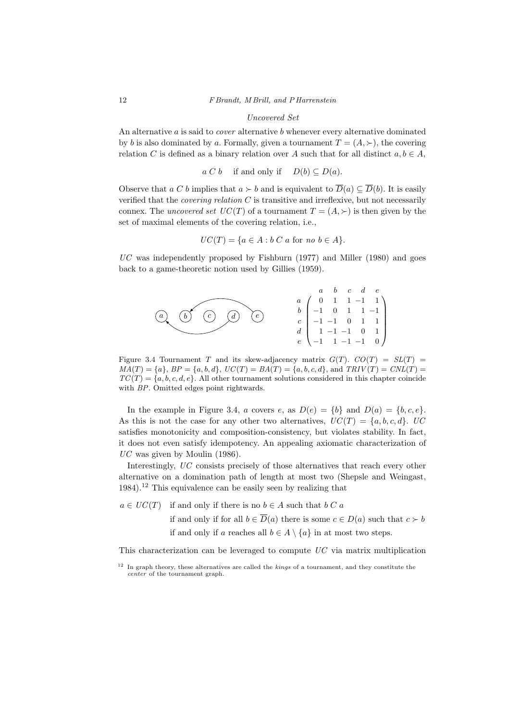## Uncovered Set

An alternative  $a$  is said to *cover* alternative  $b$  whenever every alternative dominated by b is also dominated by a. Formally, given a tournament  $T = (A, \succ)$ , the covering relation C is defined as a binary relation over A such that for all distinct  $a, b \in A$ ,

$$
a C b
$$
 if and only if  $D(b) \subseteq D(a)$ .

Observe that  $a C b$  implies that  $a \succ b$  and is equivalent to  $\overline{D}(a) \subset \overline{D}(b)$ . It is easily verified that the *covering relation*  $C$  is transitive and irreflexive, but not necessarily connex. The *uncovered set*  $UC(T)$  of a tournament  $T = (A, \succ)$  is then given by the set of maximal elements of the covering relation, i.e.,

$$
UC(T) = \{a \in A : b \ C \ a \text{ for } no \ b \in A\}.
$$

 $UC$  was independently proposed by Fishburn (1977) and Miller (1980) and goes back to a game-theoretic notion used by Gillies (1959).



Figure 3.4 Tournament T and its skew-adjacency matrix  $G(T)$ .  $CO(T) = SL(T)$  $MA(T) = \{a\}, BP = \{a, b, d\}, UC(T) = BA(T) = \{a, b, c, d\}, and TRIV(T) = CNL(T) =$  $TC(T) = \{a, b, c, d, e\}$ . All other tournament solutions considered in this chapter coincide with BP. Omitted edges point rightwards.

In the example in Figure 3.4, a covers e, as  $D(e) = \{b\}$  and  $D(a) = \{b, c, e\}.$ As this is not the case for any other two alternatives,  $UC(T) = \{a, b, c, d\}$ , UC satisfies monotonicity and composition-consistency, but violates stability. In fact, it does not even satisfy idempotency. An appealing axiomatic characterization of  $UC$  was given by Moulin (1986).

Interestingly, UC consists precisely of those alternatives that reach every other alternative on a domination path of length at most two (Shepsle and Weingast, 1984).<sup>12</sup> This equivalence can be easily seen by realizing that

 $a \in UC(T)$  if and only if there is no  $b \in A$  such that  $b C a$ if and only if for all  $b \in \overline{D}(a)$  there is some  $c \in D(a)$  such that  $c > b$ if and only if a reaches all  $b \in A \setminus \{a\}$  in at most two steps.

This characterization can be leveraged to compute  $\mathit{UC}$  via matrix multiplication

 $12$  In graph theory, these alternatives are called the *kings* of a tournament, and they constitute the center of the tournament graph.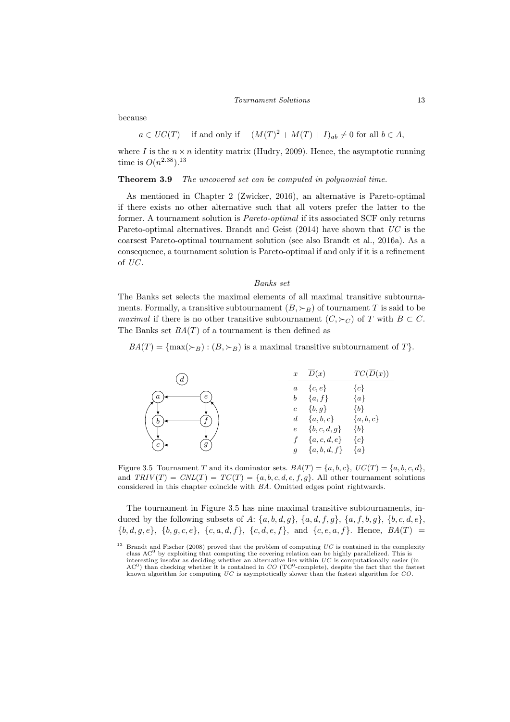#### Tournament Solutions 13

because

 $a \in UC(T)$  if and only if  $(M(T)^{2} + M(T) + I)_{ab} \neq 0$  for all  $b \in A$ ,

where I is the  $n \times n$  identity matrix (Hudry, 2009). Hence, the asymptotic running time is  $O(n^{2.38})$ .<sup>13</sup>

Theorem 3.9 The uncovered set can be computed in polynomial time.

As mentioned in Chapter 2 (Zwicker, 2016), an alternative is Pareto-optimal if there exists no other alternative such that all voters prefer the latter to the former. A tournament solution is Pareto-optimal if its associated SCF only returns Pareto-optimal alternatives. Brandt and Geist  $(2014)$  have shown that  $UC$  is the coarsest Pareto-optimal tournament solution (see also Brandt et al., 2016a). As a consequence, a tournament solution is Pareto-optimal if and only if it is a refinement of UC .

#### Banks set

The Banks set selects the maximal elements of all maximal transitive subtournaments. Formally, a transitive subtournament  $(B, \succ_B)$  of tournament T is said to be *maximal* if there is no other transitive subtournament  $(C, \succ_C)$  of T with  $B \subset C$ . The Banks set  $BA(T)$  of a tournament is then defined as

 $BA(T) = \{ \max(\succ_B) : (B, \succ_B) \text{ is a maximal transitive subtournament of } T \}.$ 



Figure 3.5 Tournament T and its dominator sets.  $BA(T) = \{a, b, c\}$ ,  $UC(T) = \{a, b, c, d\}$ , and  $TRIV(T) = CNL(T) = TC(T) = \{a, b, c, d, e, f, g\}$ . All other tournament solutions considered in this chapter coincide with BA. Omitted edges point rightwards.

The tournament in Figure 3.5 has nine maximal transitive subtournaments, induced by the following subsets of  $A: \{a, b, d, g\}$ ,  $\{a, d, f, g\}$ ,  $\{a, f, b, g\}$ ,  $\{b, c, d, e\}$ ,  ${b, d, g, e}$ ,  ${b, g, c, e}$ ,  ${c, a, d, f}$ ,  ${c, d, e, f}$ , and  ${c, e, a, f}$ . Hence,  $BA(T)$ 

<sup>&</sup>lt;sup>13</sup> Brandt and Fischer (2008) proved that the problem of computing  $UC$  is contained in the complexity class  $AC<sup>0</sup>$  by exploiting that computing the covering relation can be highly parallelized. This is interesting insofar as deciding whether an alternative lies within  $UC$  is computationally easier (in AC<sup>0</sup>) than checking whether it is contained in  $CO$  (TC<sup>0</sup>-complete), despite the fact that the fastest known algorithm for computing UC is asymptotically slower than the fastest algorithm for CO.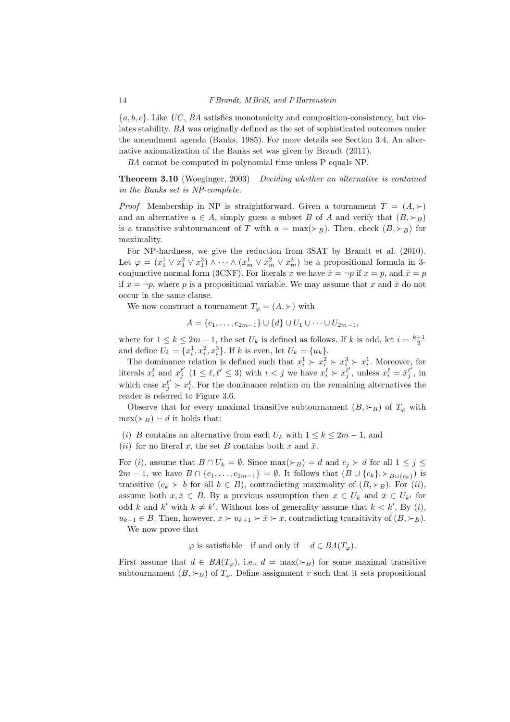${a, b, c}$ . Like UC, BA satisfies monotonicity and composition-consistency, but violates stability. BA was originally defined as the set of sophisticated outcomes under the amendment agenda (Banks, 1985). For more details see Section 3.4. An alternative axiomatization of the Banks set was given by Brandt (2011).

BA cannot be computed in polynomial time unless P equals NP.

**Theorem 3.10** (Woeginger, 2003) Deciding whether an alternative is contained in the Banks set is NP-complete.

*Proof* Membership in NP is straightforward. Given a tournament  $T = (A, \succ)$ and an alternative  $a \in A$ , simply guess a subset B of A and verify that  $(B, \succ_B)$ is a transitive subtournament of T with  $a = \max(\succ_B)$ . Then, check  $(B, \succ_B)$  for maximality.

For NP-hardness, we give the reduction from 3SAT by Brandt et al. (2010). Let  $\varphi = (x_1^1 \vee x_1^2 \vee x_1^3) \wedge \cdots \wedge (x_m^1 \vee x_m^2 \vee x_m^3)$  be a propositional formula in 3conjunctive normal form (3CNF). For literals x we have  $\bar{x} = \neg p$  if  $x = p$ , and  $\bar{x} = p$ if  $x = \neg p$ , where p is a propositional variable. We may assume that x and  $\bar{x}$  do not occur in the same clause.

We now construct a tournament  $T_{\varphi} = (A, \succ)$  with

$$
A = \{c_1, \ldots, c_{2m-1}\} \cup \{d\} \cup U_1 \cup \cdots \cup U_{2m-1},
$$

where for  $1 \leq k \leq 2m-1$ , the set  $U_k$  is defined as follows. If k is odd, let  $i = \frac{k+1}{2}$ and define  $U_k = \{x_i^1, x_i^2, x_i^3\}$ . If k is even, let  $U_k = \{u_k\}$ .

The dominance relation is defined such that  $x_i^1 \succ x_i^2 \succ x_i^3 \succ x_i^1$ . Moreover, for literals  $x_i^{\ell}$  and  $x_j^{\ell'}$  ( $1 \leq \ell, \ell' \leq 3$ ) with  $i < j$  we have  $x_i^{\ell} \succ x_j^{\ell'}$ , unless  $x_i^{\ell} = \bar{x}_j^{\ell'}$ , in which case  $x_j^{\ell'} \succ x_i^{\ell}$ . For the dominance relation on the remaining alternatives the reader is referred to Figure 3.6.

Observe that for every maximal transitive subtournament  $(B, \succ_B)$  of  $T_{\varphi}$  with  $\max(\succ_B) = d$  it holds that:

(i) B contains an alternative from each  $U_k$  with  $1 \leq k \leq 2m-1$ , and

(ii) for no literal x, the set B contains both x and  $\bar{x}$ .

For (i), assume that  $B \cap U_k = \emptyset$ . Since  $\max(\succ_B) = d$  and  $c_j \succ d$  for all  $1 \leq j \leq$  $2m-1$ , we have  $B \cap \{c_1, \ldots, c_{2m-1}\} = \emptyset$ . It follows that  $(B \cup \{c_k\}, \succ_{B \cup \{c_k\}})$  is transitive  $(c_k \succ b$  for all  $b \in B$ ), contradicting maximality of  $(B, \succ_B)$ . For  $(ii)$ , assume both  $x, \bar{x} \in B$ . By a previous assumption then  $x \in U_k$  and  $\bar{x} \in U_{k'}$  for odd k and k' with  $k \neq k'$ . Without loss of generality assume that  $k < k'$ . By (i),  $u_{k+1} \in B$ . Then, however,  $x \succ u_{k+1} \succ \overline{x} \succ x$ , contradicting transitivity of  $(B, \succ_B)$ . We now prove that

 $\varphi$  is satisfiable if and only if  $d \in BA(T_{\varphi}).$ 

First assume that  $d \in BA(T_{\varphi})$ , i.e.,  $d = \max(\succ_B)$  for some maximal transitive subtournament  $(B, \succ_B)$  of  $T_{\varphi}$ . Define assignment v such that it sets propositional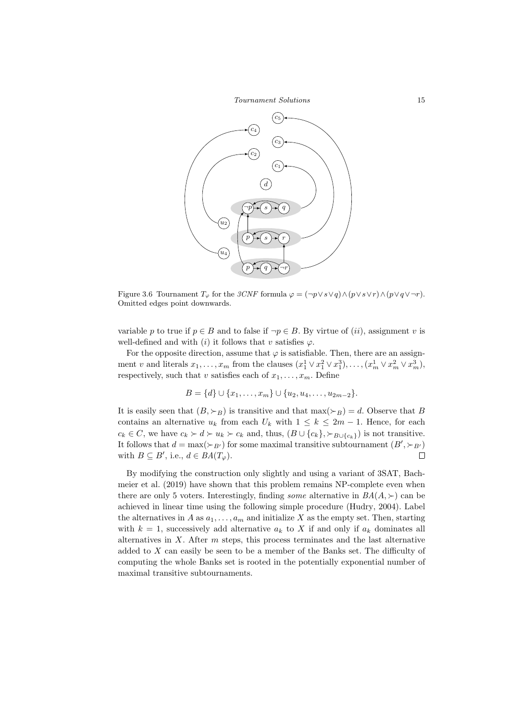Tournament Solutions 15



Figure 3.6 Tournament  $T_{\varphi}$  for the  $3CNF$  formula  $\varphi = (\neg p \lor s \lor q) \land (p \lor s \lor r) \land (p \lor q \lor \neg r)$ . Omitted edges point downwards.

variable p to true if  $p \in B$  and to false if  $\neg p \in B$ . By virtue of (*ii*), assignment v is well-defined and with (i) it follows that v satisfies  $\varphi$ .

For the opposite direction, assume that  $\varphi$  is satisfiable. Then, there are an assignment v and literals  $x_1, \ldots, x_m$  from the clauses  $(x_1^1 \vee x_1^2 \vee x_1^3), \ldots, (x_m^1 \vee x_m^2 \vee x_m^3)$ , respectively, such that v satisfies each of  $x_1, \ldots, x_m$ . Define

$$
B = \{d\} \cup \{x_1, \ldots, x_m\} \cup \{u_2, u_4, \ldots, u_{2m-2}\}.
$$

It is easily seen that  $(B, \succ_B)$  is transitive and that  $\max(\succ_B) = d$ . Observe that B contains an alternative  $u_k$  from each  $U_k$  with  $1 \leq k \leq 2m-1$ . Hence, for each  $c_k \in C$ , we have  $c_k \succ d \succ u_k \succ c_k$  and, thus,  $(B \cup \{c_k\}, \succ_{B \cup \{c_k\}})$  is not transitive. It follows that  $d = \max(\succ_{B'})$  for some maximal transitive subtournament  $(B', \succ_{B'})$ with  $B \subseteq B'$ , i.e.,  $d \in BA(T_{\varphi})$ .  $\Box$ 

By modifying the construction only slightly and using a variant of 3SAT, Bachmeier et al. (2019) have shown that this problem remains NP-complete even when there are only 5 voters. Interestingly, finding *some* alternative in  $BA(A, \geq)$  can be achieved in linear time using the following simple procedure (Hudry, 2004). Label the alternatives in A as  $a_1, \ldots, a_m$  and initialize X as the empty set. Then, starting with  $k = 1$ , successively add alternative  $a_k$  to X if and only if  $a_k$  dominates all alternatives in  $X$ . After  $m$  steps, this process terminates and the last alternative added to X can easily be seen to be a member of the Banks set. The difficulty of computing the whole Banks set is rooted in the potentially exponential number of maximal transitive subtournaments.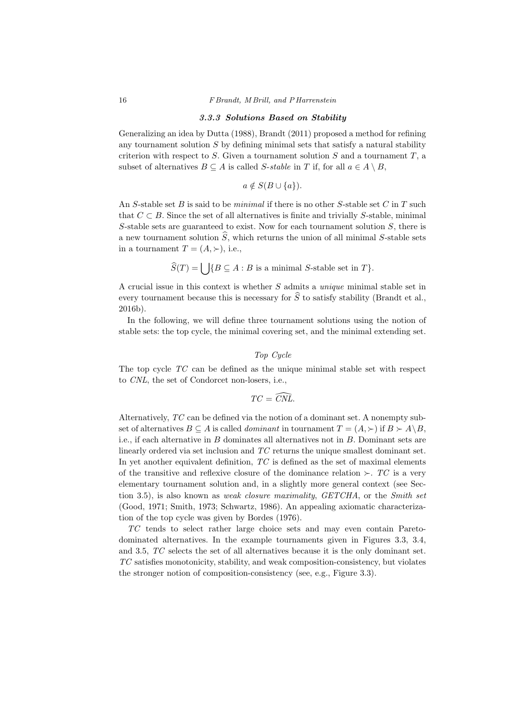#### 3.3.3 Solutions Based on Stability

Generalizing an idea by Dutta (1988), Brandt (2011) proposed a method for refining any tournament solution  $S$  by defining minimal sets that satisfy a natural stability criterion with respect to  $S$ . Given a tournament solution  $S$  and a tournament  $T$ , a subset of alternatives  $B \subseteq A$  is called S-stable in T if, for all  $a \in A \setminus B$ ,

$$
a \notin S(B \cup \{a\}).
$$

An S-stable set B is said to be *minimal* if there is no other S-stable set C in T such that  $C \subset B$ . Since the set of all alternatives is finite and trivially S-stable, minimal S-stable sets are guaranteed to exist. Now for each tournament solution  $S$ , there is a new tournament solution  $\widehat{S}$ , which returns the union of all minimal S-stable sets in a tournament  $T = (A, \succ),$  i.e.,

$$
\widehat{S}(T) = \bigcup \{ B \subseteq A : B \text{ is a minimal } S \text{-stable set in } T \}.
$$

A crucial issue in this context is whether S admits a unique minimal stable set in every tournament because this is necessary for  $\hat{S}$  to satisfy stability (Brandt et al., 2016b).

In the following, we will define three tournament solutions using the notion of stable sets: the top cycle, the minimal covering set, and the minimal extending set.

# Top Cycle

The top cycle TC can be defined as the unique minimal stable set with respect to CNL, the set of Condorcet non-losers, i.e.,

$$
TC=\widehat{CNL}.
$$

Alternatively, TC can be defined via the notion of a dominant set. A nonempty subset of alternatives  $B \subseteq A$  is called *dominant* in tournament  $T = (A, \succ)$  if  $B \succ A \backslash B$ , i.e., if each alternative in  $B$  dominates all alternatives not in  $B$ . Dominant sets are linearly ordered via set inclusion and TC returns the unique smallest dominant set. In yet another equivalent definition,  $TC$  is defined as the set of maximal elements of the transitive and reflexive closure of the dominance relation  $\succ$ . TC is a very elementary tournament solution and, in a slightly more general context (see Section 3.5), is also known as *weak closure maximality*,  $GETCHA$ , or the *Smith set* (Good, 1971; Smith, 1973; Schwartz, 1986). An appealing axiomatic characterization of the top cycle was given by Bordes (1976).

TC tends to select rather large choice sets and may even contain Paretodominated alternatives. In the example tournaments given in Figures 3.3, 3.4, and 3.5, TC selects the set of all alternatives because it is the only dominant set. TC satisfies monotonicity, stability, and weak composition-consistency, but violates the stronger notion of composition-consistency (see, e.g., Figure 3.3).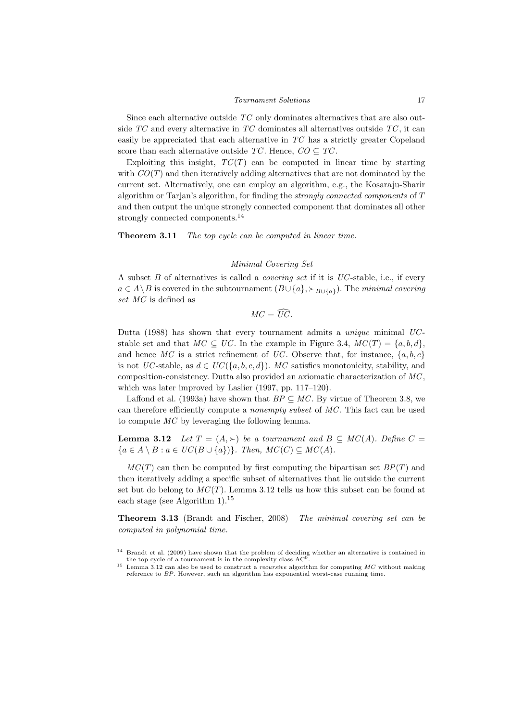Since each alternative outside TC only dominates alternatives that are also outside  $TC$  and every alternative in  $TC$  dominates all alternatives outside  $TC$ , it can easily be appreciated that each alternative in TC has a strictly greater Copeland score than each alternative outside  $TC$ . Hence,  $CO \subseteq TC$ .

Exploiting this insight,  $TC(T)$  can be computed in linear time by starting with  $CO(T)$  and then iteratively adding alternatives that are not dominated by the current set. Alternatively, one can employ an algorithm, e.g., the Kosaraju-Sharir algorithm or Tarjan's algorithm, for finding the strongly connected components of T and then output the unique strongly connected component that dominates all other strongly connected components.<sup>14</sup>

Theorem 3.11 The top cycle can be computed in linear time.

#### Minimal Covering Set

A subset  $B$  of alternatives is called a *covering set* if it is  $UC$ -stable, i.e., if every  $a \in A \backslash B$  is covered in the subtournament  $(B \cup \{a\}, \succ_{B \cup \{a\}})$ . The minimal covering set MC is defined as

$$
MC=\widehat{UC}.
$$

Dutta (1988) has shown that every tournament admits a *unique* minimal  $UC$ stable set and that  $MC \subseteq UC$ . In the example in Figure 3.4,  $MC(T) = \{a, b, d\}$ , and hence MC is a strict refinement of UC. Observe that, for instance,  $\{a, b, c\}$ is not UC-stable, as  $d \in UC{4a, b, c, d}$ . MC satisfies monotonicity, stability, and composition-consistency. Dutta also provided an axiomatic characterization of MC , which was later improved by Laslier (1997, pp. 117–120).

Laffond et al. (1993a) have shown that  $BP \subseteq MC$ . By virtue of Theorem 3.8, we can therefore efficiently compute a nonempty subset of MC . This fact can be used to compute MC by leveraging the following lemma.

**Lemma 3.12** Let  $T = (A, \succ)$  be a tournament and  $B \subseteq MC(A)$ . Define  $C =$  ${a \in A \setminus B : a \in UC(B \cup \{a\})\}.$  Then,  $MC(C) \subseteq MC(A)$ .

 $MC(T)$  can then be computed by first computing the bipartisan set  $BP(T)$  and then iteratively adding a specific subset of alternatives that lie outside the current set but do belong to  $MC(T)$ . Lemma 3.12 tells us how this subset can be found at each stage (see Algorithm 1).<sup>15</sup>

Theorem 3.13 (Brandt and Fischer, 2008) The minimal covering set can be computed in polynomial time.

<sup>14</sup> Brandt et al. (2009) have shown that the problem of deciding whether an alternative is contained in the top cycle of a tournament is in the complexity class  $AC^0$ .

 $15$  Lemma 3.12 can also be used to construct a *recursive* algorithm for computing  $MC$  without making reference to BP. However, such an algorithm has exponential worst-case running time.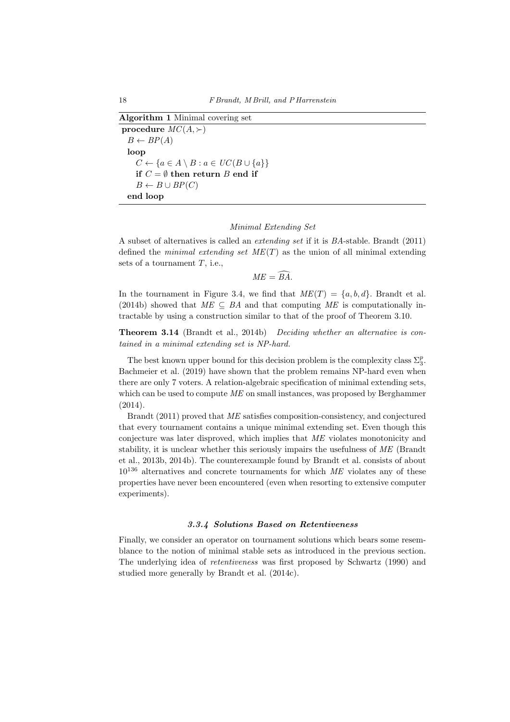```
Algorithm 1 Minimal covering set
procedure MC(A,\succ)B \leftarrow BP(A)loop
     C \leftarrow \{a \in A \setminus B : a \in UC(B \cup \{a\}\}\)if C = \emptyset then return B end if
     B \leftarrow B \cup BP(C)end loop
```
# Minimal Extending Set

A subset of alternatives is called an extending set if it is BA-stable. Brandt (2011) defined the *minimal extending set*  $ME(T)$  as the union of all minimal extending sets of a tournament  $T$ , i.e.,

 $ME = \widehat{BA}$ .

In the tournament in Figure 3.4, we find that  $ME(T) = \{a, b, d\}$ . Brandt et al. (2014b) showed that  $ME \subseteq BA$  and that computing ME is computationally intractable by using a construction similar to that of the proof of Theorem 3.10.

Theorem 3.14 (Brandt et al., 2014b) Deciding whether an alternative is contained in a minimal extending set is NP-hard.

The best known upper bound for this decision problem is the complexity class  $\Sigma_3^p$ . Bachmeier et al. (2019) have shown that the problem remains NP-hard even when there are only 7 voters. A relation-algebraic specification of minimal extending sets, which can be used to compute  $ME$  on small instances, was proposed by Berghammer (2014).

Brandt (2011) proved that ME satisfies composition-consistency, and conjectured that every tournament contains a unique minimal extending set. Even though this conjecture was later disproved, which implies that ME violates monotonicity and stability, it is unclear whether this seriously impairs the usefulness of ME (Brandt et al., 2013b, 2014b). The counterexample found by Brandt et al. consists of about  $10^{136}$  alternatives and concrete tournaments for which ME violates any of these properties have never been encountered (even when resorting to extensive computer experiments).

## 3.3.4 Solutions Based on Retentiveness

Finally, we consider an operator on tournament solutions which bears some resemblance to the notion of minimal stable sets as introduced in the previous section. The underlying idea of retentiveness was first proposed by Schwartz (1990) and studied more generally by Brandt et al. (2014c).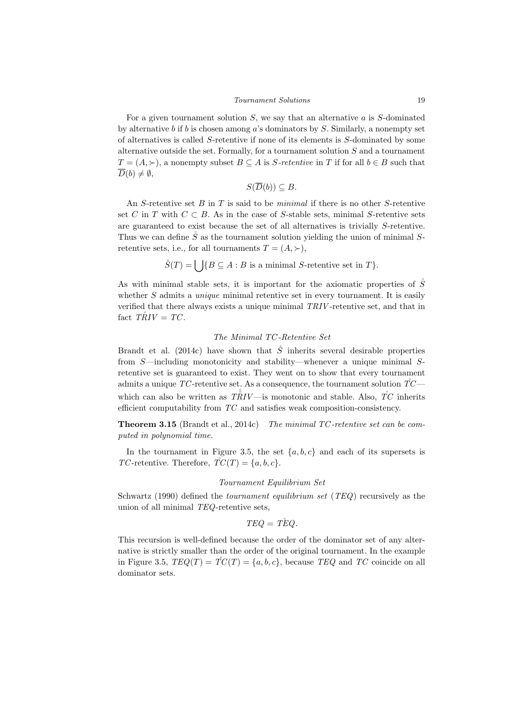For a given tournament solution  $S$ , we say that an alternative  $a$  is  $S$ -dominated by alternative b if b is chosen among a's dominators by  $S$ . Similarly, a nonempty set of alternatives is called S-retentive if none of its elements is S-dominated by some alternative outside the set. Formally, for a tournament solution  $S$  and a tournament  $T = (A, \succ)$ , a nonempty subset  $B \subseteq A$  is S-retentive in T if for all  $b \in B$  such that  $\overline{D}(b) \neq \emptyset$ ,

$$
S(\overline{D}(b)) \subseteq B.
$$

An S-retentive set B in T is said to be *minimal* if there is no other S-retentive set C in T with  $C \subset B$ . As in the case of S-stable sets, minimal S-retentive sets are guaranteed to exist because the set of all alternatives is trivially S-retentive. Thus we can define  $\mathring{S}$  as the tournament solution yielding the union of minimal Sretentive sets, i.e., for all tournaments  $T = (A, \succ),$ 

 $\mathring{S}(T) = \begin{cases} |B \subseteq A : B \text{ is a minimal } S \text{-retenitive set in } T \}. \end{cases}$ 

As with minimal stable sets, it is important for the axiomatic properties of  $\mathring{S}$ whether  $S$  admits a *unique* minimal retentive set in every tournament. It is easily verified that there always exists a unique minimal TRIV -retentive set, and that in fact  $T\ddot{R}IV = TC$ .

# The Minimal TC -Retentive Set

Brandt et al. (2014c) have shown that  $\ddot{S}$  inherits several desirable properties from S—including monotonicity and stability—whenever a unique minimal Sretentive set is guaranteed to exist. They went on to show that every tournament admits a unique TC-retentive set. As a consequence, the tournament solution  $\mathring{T}C$ which can also be written as  $T\mathring{R}IV$  —is monotonic and stable. Also,  $\mathring{T}C$  inherits efficient computability from TC and satisfies weak composition-consistency.

Theorem 3.15 (Brandt et al., 2014c) The minimal TC -retentive set can be computed in polynomial time.

In the tournament in Figure 3.5, the set  $\{a, b, c\}$  and each of its supersets is TC-retentive. Therefore,  $\overline{TC}(T) = \{a, b, c\}.$ 

#### Tournament Equilibrium Set

Schwartz (1990) defined the tournament equilibrium set (TEQ) recursively as the union of all minimal TEQ-retentive sets,

$$
TEQ = T\overset{\circ}{E}Q.
$$

This recursion is well-defined because the order of the dominator set of any alternative is strictly smaller than the order of the original tournament. In the example in Figure 3.5,  $TEQ(T) = TC(T) = \{a, b, c\}$ , because  $TEQ$  and  $TC$  coincide on all dominator sets.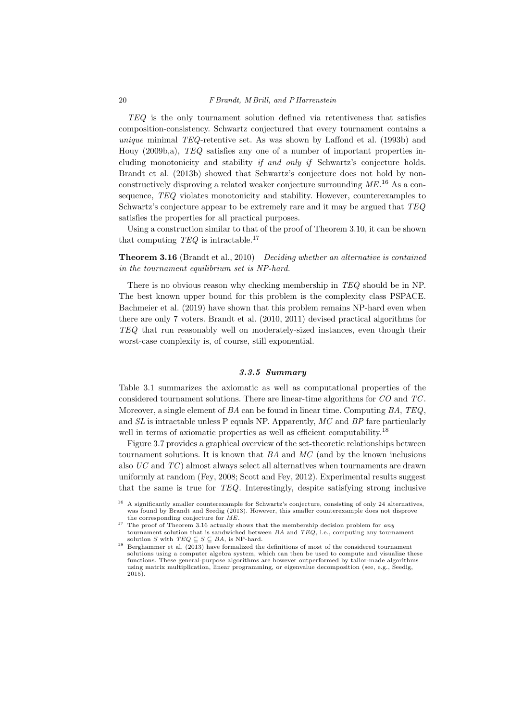TEQ is the only tournament solution defined via retentiveness that satisfies composition-consistency. Schwartz conjectured that every tournament contains a unique minimal TEQ-retentive set. As was shown by Laffond et al. (1993b) and Houy (2009b,a), TEQ satisfies any one of a number of important properties including monotonicity and stability if and only if Schwartz's conjecture holds. Brandt et al. (2013b) showed that Schwartz's conjecture does not hold by nonconstructively disproving a related weaker conjecture surrounding  $ME$ .<sup>16</sup> As a consequence, TEQ violates monotonicity and stability. However, counterexamples to Schwartz's conjecture appear to be extremely rare and it may be argued that TEQ satisfies the properties for all practical purposes.

Using a construction similar to that of the proof of Theorem 3.10, it can be shown that computing  $TEQ$  is intractable.<sup>17</sup>

**Theorem 3.16** (Brandt et al., 2010) Deciding whether an alternative is contained in the tournament equilibrium set is NP-hard.

There is no obvious reason why checking membership in TEQ should be in NP. The best known upper bound for this problem is the complexity class PSPACE. Bachmeier et al. (2019) have shown that this problem remains NP-hard even when there are only 7 voters. Brandt et al. (2010, 2011) devised practical algorithms for TEQ that run reasonably well on moderately-sized instances, even though their worst-case complexity is, of course, still exponential.

# 3.3.5 Summary

Table 3.1 summarizes the axiomatic as well as computational properties of the considered tournament solutions. There are linear-time algorithms for CO and TC . Moreover, a single element of  $BA$  can be found in linear time. Computing  $BA$ ,  $TEQ$ , and SL is intractable unless P equals NP. Apparently, MC and BP fare particularly well in terms of axiomatic properties as well as efficient computability.<sup>18</sup>

Figure 3.7 provides a graphical overview of the set-theoretic relationships between tournament solutions. It is known that  $BA$  and  $MC$  (and by the known inclusions also UC and TC ) almost always select all alternatives when tournaments are drawn uniformly at random (Fey, 2008; Scott and Fey, 2012). Experimental results suggest that the same is true for TEQ. Interestingly, despite satisfying strong inclusive

<sup>&</sup>lt;sup>16</sup> A significantly smaller counterexample for Schwartz's conjecture, consisting of only 24 alternatives, was found by Brandt and Seedig (2013). However, this smaller counterexample does not disprove the corresponding conjecture for ME.

<sup>&</sup>lt;sup>17</sup> The proof of Theorem 3.16 actually shows that the membership decision problem for *any* tournament solution that is sandwiched between  $BA$  and  $TEQ$ , i.e., computing any tournament solution S with  $TEQ \subseteq S \subseteq BA$ , is NP-hard.

<sup>&</sup>lt;sup>18</sup> Berghammer et al.  $(2013)$  have formalized the definitions of most of the considered tournament solutions using a computer algebra system, which can then be used to compute and visualize these functions. These general-purpose algorithms are however outperformed by tailor-made algorithms using matrix multiplication, linear programming, or eigenvalue decomposition (see, e.g., Seedig, 2015).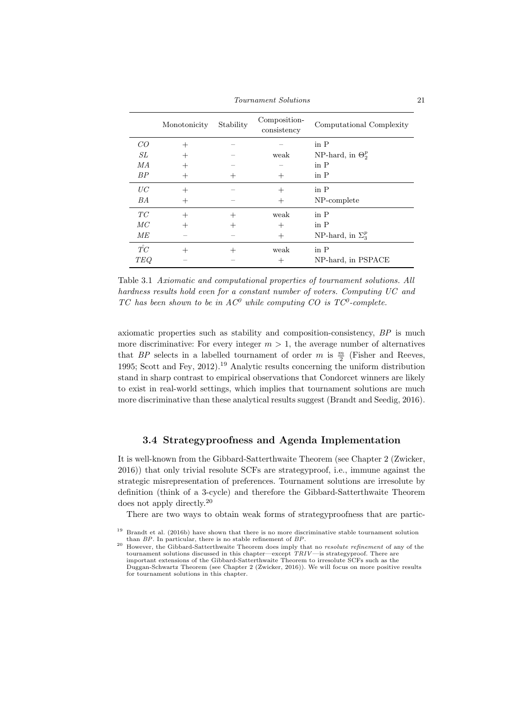Tournament Solutions 21

|                 | Monotonicity   | Stability      | Composition-<br>consistency | Computational Complexity        |
|-----------------|----------------|----------------|-----------------------------|---------------------------------|
| CO              | $^{+}$         |                |                             | $\operatorname{in}$ $\mathbf P$ |
| SL              | $^{+}$         |                | weak                        | NP-hard, in $\Theta_2^p$        |
| MA              | $^{+}$         |                |                             | $\operatorname{in}$ $\mathbf P$ |
| BP              | $^{+}$         | $^+$           | $^+$                        | in $P$                          |
| UC              | $^{+}$         |                | $^+$                        | $\operatorname{in}$ $P$         |
| BA              | $^{+}$         |                | $^{+}$                      | NP-complete                     |
| TC              | $^{+}$         | $\overline{+}$ | weak                        | $\operatorname{in}$ $P$         |
| MC              | $^{+}$         | $^+$           | $^+$                        | $\operatorname{in}$ $\mathbf P$ |
| ME              |                |                | $^{+}$                      | NP-hard, in $\Sigma_3^p$        |
| $\mathring{TC}$ | $\overline{+}$ | $^+$           | weak                        | $\operatorname{in}$ $\mathbf P$ |
| <b>TEQ</b>      |                |                | $^+$                        | NP-hard, in PSPACE              |

Table 3.1 Axiomatic and computational properties of tournament solutions. All hardness results hold even for a constant number of voters. Computing UC and TC has been shown to be in  $AC^0$  while computing CO is TC<sup>0</sup>-complete.

axiomatic properties such as stability and composition-consistency, BP is much more discriminative: For every integer  $m > 1$ , the average number of alternatives that BP selects in a labelled tournament of order m is  $\frac{m}{2}$  (Fisher and Reeves, 1995; Scott and Fey, 2012).<sup>19</sup> Analytic results concerning the uniform distribution stand in sharp contrast to empirical observations that Condorcet winners are likely to exist in real-world settings, which implies that tournament solutions are much more discriminative than these analytical results suggest (Brandt and Seedig, 2016).

# 3.4 Strategyproofness and Agenda Implementation

It is well-known from the Gibbard-Satterthwaite Theorem (see Chapter 2 (Zwicker, 2016)) that only trivial resolute SCFs are strategyproof, i.e., immune against the strategic misrepresentation of preferences. Tournament solutions are irresolute by definition (think of a 3-cycle) and therefore the Gibbard-Satterthwaite Theorem does not apply directly.<sup>20</sup>

There are two ways to obtain weak forms of strategyproofness that are partic-

<sup>&</sup>lt;sup>19</sup> Brandt et al. (2016b) have shown that there is no more discriminative stable tournament solution than BP. In particular, there is no stable refinement of BP.

<sup>&</sup>lt;sup>20</sup> However, the Gibbard-Satterthwaite Theorem does imply that no *resolute refinement* of any of the tournament solutions discussed in this chapter—except  $TRIV$ —is strategyproof. There are important extensions of the Gibbard-Satterthwaite Theorem to irresolute SCFs such as the Duggan-Schwartz Theorem (see Chapter 2 (Zwicker, 2016)). We will focus on more positive results for tournament solutions in this chapter.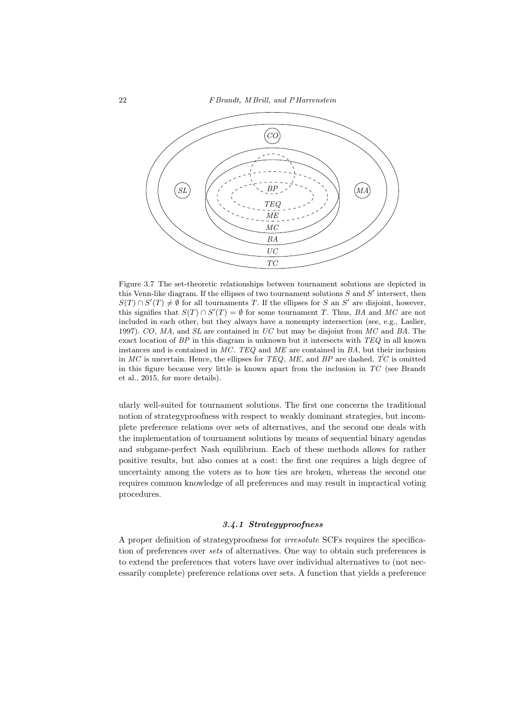

Figure 3.7 The set-theoretic relationships between tournament solutions are depicted in this Venn-like diagram. If the ellipses of two tournament solutions  $S$  and  $S'$  intersect, then  $S(T) \cap S'(T) \neq \emptyset$  for all tournaments T. If the ellipses for S an S' are disjoint, however, this signifies that  $S(T) \cap S'(T) = \emptyset$  for some tournament T. Thus, BA and MC are not included in each other, but they always have a nonempty intersection (see, e.g., Laslier, 1997). CO, MA, and SL are contained in UC but may be disjoint from MC and BA. The exact location of  $BP$  in this diagram is unknown but it intersects with  $TEQ$  in all known instances and is contained in MC. TEQ and ME are contained in BA, but their inclusion in MC is uncertain. Hence, the ellipses for TEQ, ME, and BP are dashed.  $\mathring{T}C$  is omitted in this figure because very little is known apart from the inclusion in TC (see Brandt et al., 2015, for more details).

ularly well-suited for tournament solutions. The first one concerns the traditional notion of strategyproofness with respect to weakly dominant strategies, but incomplete preference relations over sets of alternatives, and the second one deals with the implementation of tournament solutions by means of sequential binary agendas and subgame-perfect Nash equilibrium. Each of these methods allows for rather positive results, but also comes at a cost: the first one requires a high degree of uncertainty among the voters as to how ties are broken, whereas the second one requires common knowledge of all preferences and may result in impractical voting procedures.

## 3.4.1 Strategyproofness

A proper definition of strategyproofness for irresolute SCFs requires the specification of preferences over sets of alternatives. One way to obtain such preferences is to extend the preferences that voters have over individual alternatives to (not necessarily complete) preference relations over sets. A function that yields a preference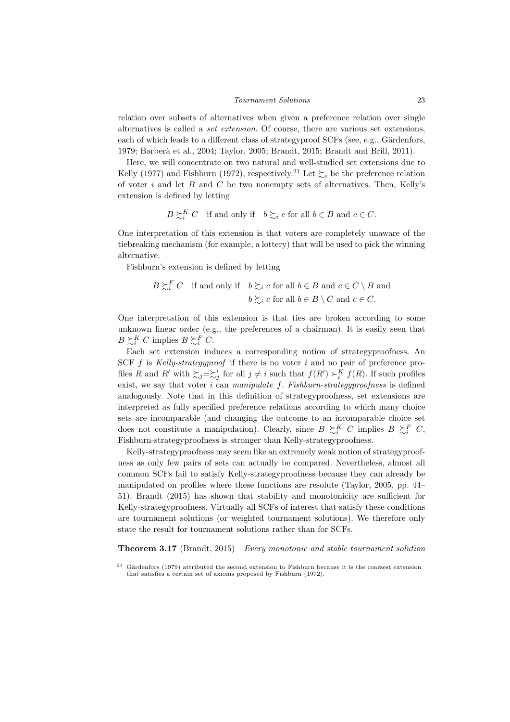relation over subsets of alternatives when given a preference relation over single alternatives is called a set extension. Of course, there are various set extensions, each of which leads to a different class of strategyproof  $SCFs$  (see, e.g., Gärdenfors, 1979; Barber`a et al., 2004; Taylor, 2005; Brandt, 2015; Brandt and Brill, 2011).

Here, we will concentrate on two natural and well-studied set extensions due to Kelly (1977) and Fishburn (1972), respectively.<sup>21</sup> Let  $\sum_{i}$  be the preference relation of voter  $i$  and let  $B$  and  $C$  be two nonempty sets of alternatives. Then, Kelly's extension is defined by letting

$$
B \succsim_i^K C \quad \text{if and only if} \quad b \succsim_i c \text{ for all } b \in B \text{ and } c \in C.
$$

One interpretation of this extension is that voters are completely unaware of the tiebreaking mechanism (for example, a lottery) that will be used to pick the winning alternative.

Fishburn's extension is defined by letting

$$
B \succsim_i^F C \quad \text{if and only if} \quad b \succsim_i c \text{ for all } b \in B \text{ and } c \in C \setminus B \text{ and}
$$

$$
b \succsim_i c \text{ for all } b \in B \setminus C \text{ and } c \in C.
$$

One interpretation of this extension is that ties are broken according to some unknown linear order (e.g., the preferences of a chairman). It is easily seen that  $B \succsim_i^K C$  implies  $B \succsim_i^F C$ .

Each set extension induces a corresponding notion of strategyproofness. An SCF  $f$  is *Kelly-strategyproof* if there is no voter  $i$  and no pair of preference profiles R and R' with  $\sum_{j}=\sum'_{j}$  for all  $j \neq i$  such that  $f(R') > K$   $f(R)$ . If such profiles exist, we say that voter  $i$  can manipulate  $f$ . Fishburn-strategyproofness is defined analogously. Note that in this definition of strategyproofness, set extensions are interpreted as fully specified preference relations according to which many choice sets are incomparable (and changing the outcome to an incomparable choice set does not constitute a manipulation). Clearly, since  $B \succeq^K_i C$  implies  $B \succeq^F_i C$ , Fishburn-strategyproofness is stronger than Kelly-strategyproofness.

Kelly-strategyproofness may seem like an extremely weak notion of strategyproofness as only few pairs of sets can actually be compared. Nevertheless, almost all common SCFs fail to satisfy Kelly-strategyproofness because they can already be manipulated on profiles where these functions are resolute (Taylor, 2005, pp. 44– 51). Brandt (2015) has shown that stability and monotonicity are sufficient for Kelly-strategyproofness. Virtually all SCFs of interest that satisfy these conditions are tournament solutions (or weighted tournament solutions). We therefore only state the result for tournament solutions rather than for SCFs.

Theorem 3.17 (Brandt, 2015) Every monotonic and stable tournament solution

Gärdenfors (1979) attributed the second extension to Fishburn because it is the coarsest extension that satisfies a certain set of axioms proposed by Fishburn (1972).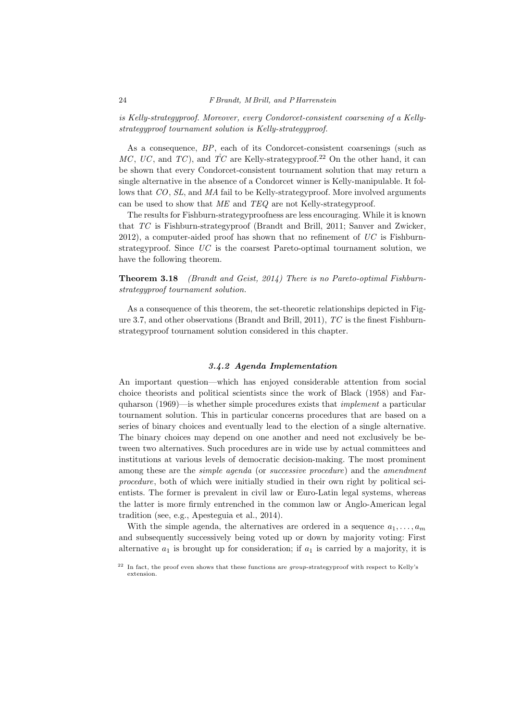is Kelly-strategyproof. Moreover, every Condorcet-consistent coarsening of a Kellystrategyproof tournament solution is Kelly-strategyproof.

As a consequence, BP, each of its Condorcet-consistent coarsenings (such as MC, UC, and TC), and  $\overline{TC}$  are Kelly-strategyproof.<sup>22</sup> On the other hand, it can be shown that every Condorcet-consistent tournament solution that may return a single alternative in the absence of a Condorcet winner is Kelly-manipulable. It follows that CO, SL, and MA fail to be Kelly-strategyproof. More involved arguments can be used to show that ME and TEQ are not Kelly-strategyproof.

The results for Fishburn-strategyproofness are less encouraging. While it is known that TC is Fishburn-strategyproof (Brandt and Brill, 2011; Sanver and Zwicker, 2012), a computer-aided proof has shown that no refinement of  $\overline{UC}$  is Fishburnstrategyproof. Since  $UC$  is the coarsest Pareto-optimal tournament solution, we have the following theorem.

# Theorem 3.18 (Brandt and Geist, 2014) There is no Pareto-optimal Fishburnstrategyproof tournament solution.

As a consequence of this theorem, the set-theoretic relationships depicted in Figure 3.7, and other observations (Brandt and Brill, 2011),  $TC$  is the finest Fishburnstrategyproof tournament solution considered in this chapter.

## 3.4.2 Agenda Implementation

An important question—which has enjoyed considerable attention from social choice theorists and political scientists since the work of Black (1958) and Farquharson  $(1969)$ —is whether simple procedures exists that *implement* a particular tournament solution. This in particular concerns procedures that are based on a series of binary choices and eventually lead to the election of a single alternative. The binary choices may depend on one another and need not exclusively be between two alternatives. Such procedures are in wide use by actual committees and institutions at various levels of democratic decision-making. The most prominent among these are the *simple agenda* (or *successive procedure*) and the *amendment* procedure, both of which were initially studied in their own right by political scientists. The former is prevalent in civil law or Euro-Latin legal systems, whereas the latter is more firmly entrenched in the common law or Anglo-American legal tradition (see, e.g., Apesteguia et al., 2014).

With the simple agenda, the alternatives are ordered in a sequence  $a_1, \ldots, a_m$ and subsequently successively being voted up or down by majority voting: First alternative  $a_1$  is brought up for consideration; if  $a_1$  is carried by a majority, it is

 $22$  In fact, the proof even shows that these functions are *group*-strategyproof with respect to Kelly's extension.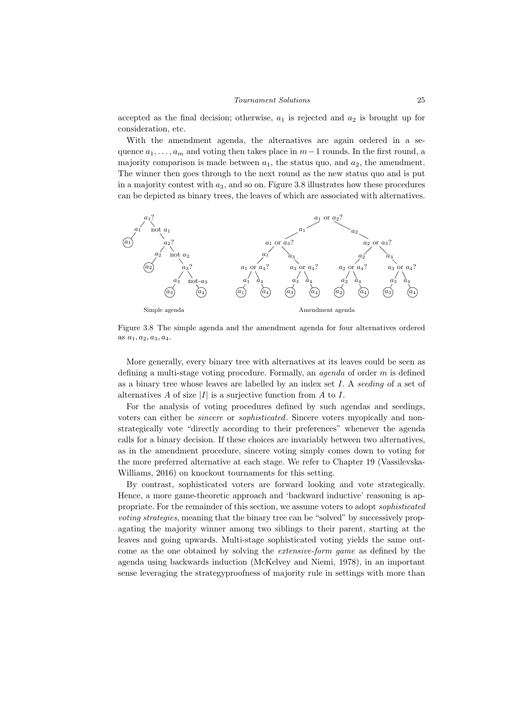accepted as the final decision; otherwise,  $a_1$  is rejected and  $a_2$  is brought up for consideration, etc.

With the amendment agenda, the alternatives are again ordered in a sequence  $a_1, \ldots, a_m$  and voting then takes place in  $m-1$  rounds. In the first round, a majority comparison is made between  $a_1$ , the status quo, and  $a_2$ , the amendment. The winner then goes through to the next round as the new status quo and is put in a majority contest with  $a_3$ , and so on. Figure 3.8 illustrates how these procedures can be depicted as binary trees, the leaves of which are associated with alternatives.



Figure 3.8 The simple agenda and the amendment agenda for four alternatives ordered as  $a_1, a_2, a_3, a_4$ .

More generally, every binary tree with alternatives at its leaves could be seen as defining a multi-stage voting procedure. Formally, an agenda of order m is defined as a binary tree whose leaves are labelled by an index set I. A seeding of a set of alternatives A of size  $|I|$  is a surjective function from A to I.

For the analysis of voting procedures defined by such agendas and seedings, voters can either be sincere or sophisticated. Sincere voters myopically and nonstrategically vote "directly according to their preferences" whenever the agenda calls for a binary decision. If these choices are invariably between two alternatives, as in the amendment procedure, sincere voting simply comes down to voting for the more preferred alternative at each stage. We refer to Chapter 19 (Vassilevska-Williams, 2016) on knockout tournaments for this setting.

By contrast, sophisticated voters are forward looking and vote strategically. Hence, a more game-theoretic approach and 'backward inductive' reasoning is appropriate. For the remainder of this section, we assume voters to adopt sophisticated voting strategies, meaning that the binary tree can be "solved" by successively propagating the majority winner among two siblings to their parent, starting at the leaves and going upwards. Multi-stage sophisticated voting yields the same outcome as the one obtained by solving the extensive-form game as defined by the agenda using backwards induction (McKelvey and Niemi, 1978), in an important sense leveraging the strategyproofness of majority rule in settings with more than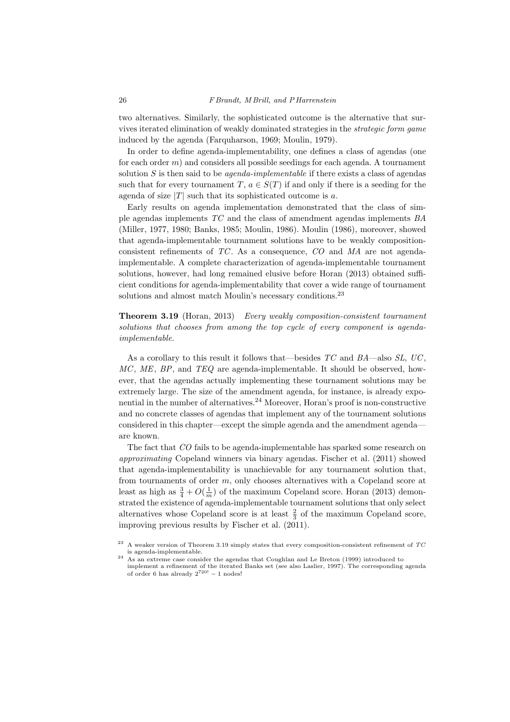two alternatives. Similarly, the sophisticated outcome is the alternative that survives iterated elimination of weakly dominated strategies in the strategic form game induced by the agenda (Farquharson, 1969; Moulin, 1979).

In order to define agenda-implementability, one defines a class of agendas (one for each order  $m$ ) and considers all possible seedings for each agenda. A tournament solution S is then said to be *agenda-implementable* if there exists a class of agendas such that for every tournament  $T, a \in S(T)$  if and only if there is a seeding for the agenda of size  $|T|$  such that its sophisticated outcome is a.

Early results on agenda implementation demonstrated that the class of simple agendas implements TC and the class of amendment agendas implements BA (Miller, 1977, 1980; Banks, 1985; Moulin, 1986). Moulin (1986), moreover, showed that agenda-implementable tournament solutions have to be weakly compositionconsistent refinements of TC . As a consequence, CO and MA are not agendaimplementable. A complete characterization of agenda-implementable tournament solutions, however, had long remained elusive before Horan (2013) obtained sufficient conditions for agenda-implementability that cover a wide range of tournament solutions and almost match Moulin's necessary conditions.<sup>23</sup>

Theorem 3.19 (Horan, 2013) Every weakly composition-consistent tournament solutions that chooses from among the top cycle of every component is agendaimplementable.

As a corollary to this result it follows that—besides  $TC$  and  $BA$ —also  $SL$ ,  $UC$ ,  $MC$ ,  $ME$ ,  $BP$ , and  $TEQ$  are agenda-implementable. It should be observed, however, that the agendas actually implementing these tournament solutions may be extremely large. The size of the amendment agenda, for instance, is already exponential in the number of alternatives.<sup>24</sup> Moreover, Horan's proof is non-constructive and no concrete classes of agendas that implement any of the tournament solutions considered in this chapter—except the simple agenda and the amendment agenda are known.

The fact that CO fails to be agenda-implementable has sparked some research on approximating Copeland winners via binary agendas. Fischer et al. (2011) showed that agenda-implementability is unachievable for any tournament solution that, from tournaments of order m, only chooses alternatives with a Copeland score at least as high as  $\frac{3}{4} + O(\frac{1}{m})$  of the maximum Copeland score. Horan (2013) demonstrated the existence of agenda-implementable tournament solutions that only select alternatives whose Copeland score is at least  $\frac{2}{3}$  of the maximum Copeland score, improving previous results by Fischer et al. (2011).

<sup>23</sup> A weaker version of Theorem 3.19 simply states that every composition-consistent refinement of TC is agenda-implementable.

<sup>&</sup>lt;sup>24</sup> As an extreme case consider the agendas that Coughlan and Le Breton (1999) introduced to implement a refinement of the iterated Banks set (see also Laslier, 1997). The corresponding agenda of order 6 has already  $2^{720!} - 1$  nodes!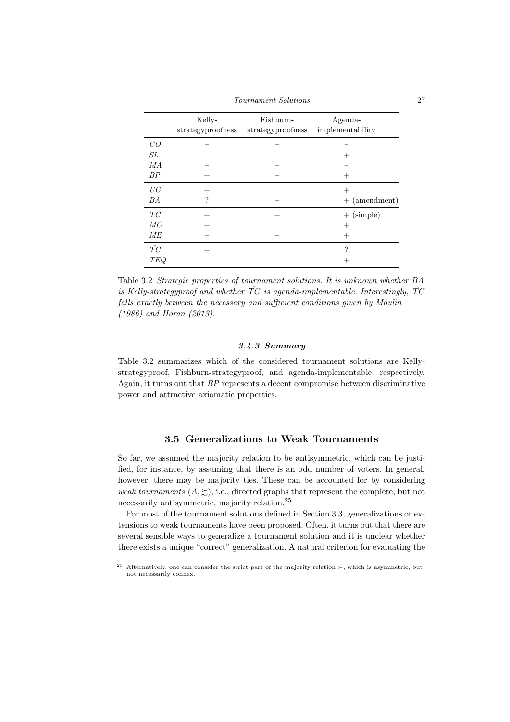Tournament Solutions 27

|                 | Kelly-<br>strategyproofness | Fishburn-<br>strategyproofness | Agenda-<br>implementability |
|-----------------|-----------------------------|--------------------------------|-----------------------------|
| CO              |                             |                                |                             |
| SL              |                             |                                |                             |
| MA              |                             |                                |                             |
| BP              |                             |                                |                             |
| UC              | $^+$                        |                                | $^{+}$                      |
| BA              | ?                           |                                | $+$ (amendment)             |
| TC              |                             | $^+$                           | $+$ (simple)                |
| MC              |                             |                                |                             |
| ME              |                             |                                | $^+$                        |
| $\mathring{TC}$ |                             |                                | ?                           |
| <b>TEQ</b>      |                             |                                |                             |

Table 3.2 Strategic properties of tournament solutions. It is unknown whether BA is Kelly-strategyproof and whether  $\overline{TC}$  is agenda-implementable. Interestingly,  $\overline{TC}$ falls exactly between the necessary and sufficient conditions given by Moulin (1986) and Horan (2013).

# 3.4.3 Summary

Table 3.2 summarizes which of the considered tournament solutions are Kellystrategyproof, Fishburn-strategyproof, and agenda-implementable, respectively. Again, it turns out that BP represents a decent compromise between discriminative power and attractive axiomatic properties.

# 3.5 Generalizations to Weak Tournaments

So far, we assumed the majority relation to be antisymmetric, which can be justified, for instance, by assuming that there is an odd number of voters. In general, however, there may be majority ties. These can be accounted for by considering weak tournaments  $(A, \succeq)$ , i.e., directed graphs that represent the complete, but not necessarily antisymmetric, majority relation.<sup>25</sup>

For most of the tournament solutions defined in Section 3.3, generalizations or extensions to weak tournaments have been proposed. Often, it turns out that there are several sensible ways to generalize a tournament solution and it is unclear whether there exists a unique "correct" generalization. A natural criterion for evaluating the

<sup>&</sup>lt;sup>25</sup> Alternatively, one can consider the strict part of the majority relation  $\succ$ , which is asymmetric, but not necessarily connex.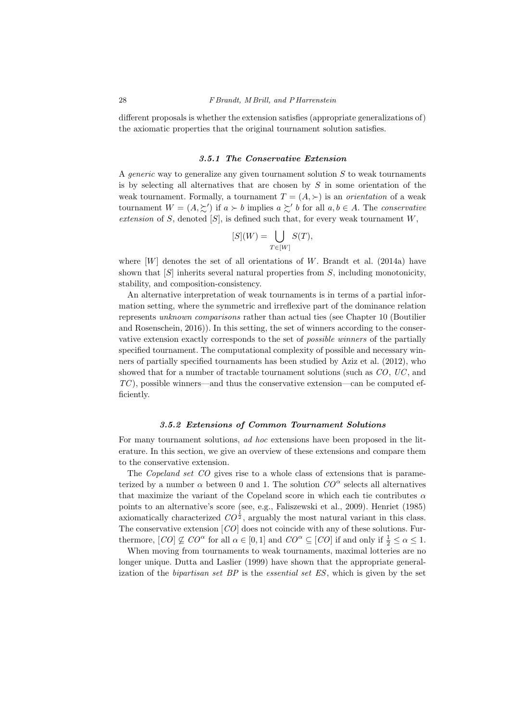different proposals is whether the extension satisfies (appropriate generalizations of) the axiomatic properties that the original tournament solution satisfies.

## 3.5.1 The Conservative Extension

A *generic* way to generalize any given tournament solution  $S$  to weak tournaments is by selecting all alternatives that are chosen by  $S$  in some orientation of the weak tournament. Formally, a tournament  $T = (A, \succ)$  is an *orientation* of a weak tournament  $W = (A, \succeq')$  if  $a \succ b$  implies  $a \succeq' b$  for all  $a, b \in A$ . The conservative extension of  $S$ , denoted  $[S]$ , is defined such that, for every weak tournament  $W$ ,

$$
[S](W) = \bigcup_{T \in [W]} S(T),
$$

where  $[W]$  denotes the set of all orientations of W. Brandt et al. (2014a) have shown that  $[S]$  inherits several natural properties from S, including monotonicity, stability, and composition-consistency.

An alternative interpretation of weak tournaments is in terms of a partial information setting, where the symmetric and irreflexive part of the dominance relation represents unknown comparisons rather than actual ties (see Chapter 10 (Boutilier and Rosenschein, 2016)). In this setting, the set of winners according to the conservative extension exactly corresponds to the set of possible winners of the partially specified tournament. The computational complexity of possible and necessary winners of partially specified tournaments has been studied by Aziz et al. (2012), who showed that for a number of tractable tournament solutions (such as  $CO$ ,  $UC$ , and  $TC$ ), possible winners—and thus the conservative extension—can be computed efficiently.

#### 3.5.2 Extensions of Common Tournament Solutions

For many tournament solutions, *ad hoc* extensions have been proposed in the literature. In this section, we give an overview of these extensions and compare them to the conservative extension.

The *Copeland set CO* gives rise to a whole class of extensions that is parameterized by a number  $\alpha$  between 0 and 1. The solution  $CO^{\alpha}$  selects all alternatives that maximize the variant of the Copeland score in which each tie contributes  $\alpha$ points to an alternative's score (see, e.g., Faliszewski et al., 2009). Henriet (1985) axiomatically characterized  $CO^{\frac{1}{2}}$ , arguably the most natural variant in this class. The conservative extension [CO] does not coincide with any of these solutions. Furthermore,  $[CO] \not\subseteq CO^{\alpha}$  for all  $\alpha \in [0,1]$  and  $CO^{\alpha} \subseteq [CO]$  if and only if  $\frac{1}{2} \leq \alpha \leq 1$ .

When moving from tournaments to weak tournaments, maximal lotteries are no longer unique. Dutta and Laslier (1999) have shown that the appropriate generalization of the *bipartisan set BP* is the *essential set ES*, which is given by the set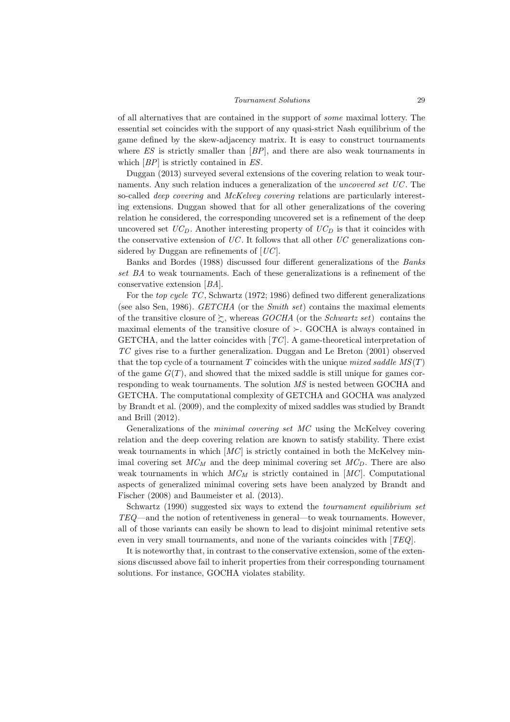of all alternatives that are contained in the support of some maximal lottery. The essential set coincides with the support of any quasi-strict Nash equilibrium of the game defined by the skew-adjacency matrix. It is easy to construct tournaments where  $ES$  is strictly smaller than  $[BP]$ , and there are also weak tournaments in which  $[BP]$  is strictly contained in ES.

Duggan (2013) surveyed several extensions of the covering relation to weak tournaments. Any such relation induces a generalization of the *uncovered set UC*. The so-called *deep covering* and *McKelvey covering* relations are particularly interesting extensions. Duggan showed that for all other generalizations of the covering relation he considered, the corresponding uncovered set is a refinement of the deep uncovered set  $UC_D$ . Another interesting property of  $UC_D$  is that it coincides with the conservative extension of  $UC$ . It follows that all other  $UC$  generalizations considered by Duggan are refinements of  $[UC]$ .

Banks and Bordes (1988) discussed four different generalizations of the Banks set BA to weak tournaments. Each of these generalizations is a refinement of the conservative extension [BA].

For the top cycle TC , Schwartz (1972; 1986) defined two different generalizations (see also Sen, 1986).  $GETCHA$  (or the *Smith set*) contains the maximal elements of the transitive closure of  $\gtrsim$ , whereas GOCHA (or the Schwartz set) contains the maximal elements of the transitive closure of  $\succ$ . GOCHA is always contained in GETCHA, and the latter coincides with  $[TC]$ . A game-theoretical interpretation of TC gives rise to a further generalization. Duggan and Le Breton (2001) observed that the top cycle of a tournament T coincides with the unique mixed saddle  $MS(T)$ of the game  $G(T)$ , and showed that the mixed saddle is still unique for games corresponding to weak tournaments. The solution MS is nested between GOCHA and GETCHA. The computational complexity of GETCHA and GOCHA was analyzed by Brandt et al. (2009), and the complexity of mixed saddles was studied by Brandt and Brill (2012).

Generalizations of the minimal covering set MC using the McKelvey covering relation and the deep covering relation are known to satisfy stability. There exist weak tournaments in which  $[MC]$  is strictly contained in both the McKelvey minimal covering set  $MC_M$  and the deep minimal covering set  $MC_D$ . There are also weak tournaments in which  $MC_M$  is strictly contained in  $[MC]$ . Computational aspects of generalized minimal covering sets have been analyzed by Brandt and Fischer (2008) and Baumeister et al. (2013).

Schwartz (1990) suggested six ways to extend the tournament equilibrium set TEQ—and the notion of retentiveness in general—to weak tournaments. However, all of those variants can easily be shown to lead to disjoint minimal retentive sets even in very small tournaments, and none of the variants coincides with [TEQ].

It is noteworthy that, in contrast to the conservative extension, some of the extensions discussed above fail to inherit properties from their corresponding tournament solutions. For instance, GOCHA violates stability.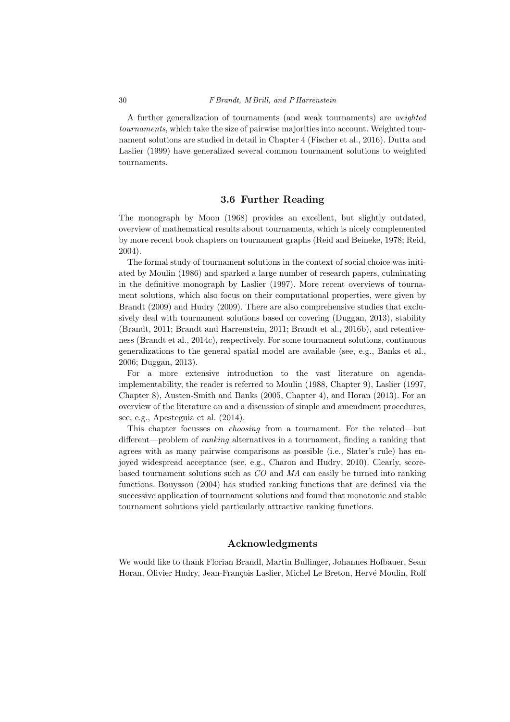A further generalization of tournaments (and weak tournaments) are weighted tournaments, which take the size of pairwise majorities into account. Weighted tournament solutions are studied in detail in Chapter 4 (Fischer et al., 2016). Dutta and Laslier (1999) have generalized several common tournament solutions to weighted tournaments.

# 3.6 Further Reading

The monograph by Moon (1968) provides an excellent, but slightly outdated, overview of mathematical results about tournaments, which is nicely complemented by more recent book chapters on tournament graphs (Reid and Beineke, 1978; Reid, 2004).

The formal study of tournament solutions in the context of social choice was initiated by Moulin (1986) and sparked a large number of research papers, culminating in the definitive monograph by Laslier (1997). More recent overviews of tournament solutions, which also focus on their computational properties, were given by Brandt (2009) and Hudry (2009). There are also comprehensive studies that exclusively deal with tournament solutions based on covering (Duggan, 2013), stability (Brandt, 2011; Brandt and Harrenstein, 2011; Brandt et al., 2016b), and retentiveness (Brandt et al., 2014c), respectively. For some tournament solutions, continuous generalizations to the general spatial model are available (see, e.g., Banks et al., 2006; Duggan, 2013).

For a more extensive introduction to the vast literature on agendaimplementability, the reader is referred to Moulin (1988, Chapter 9), Laslier (1997, Chapter 8), Austen-Smith and Banks (2005, Chapter 4), and Horan (2013). For an overview of the literature on and a discussion of simple and amendment procedures, see, e.g., Apesteguia et al. (2014).

This chapter focusses on choosing from a tournament. For the related—but different—problem of ranking alternatives in a tournament, finding a ranking that agrees with as many pairwise comparisons as possible (i.e., Slater's rule) has enjoyed widespread acceptance (see, e.g., Charon and Hudry, 2010). Clearly, scorebased tournament solutions such as CO and MA can easily be turned into ranking functions. Bouyssou (2004) has studied ranking functions that are defined via the successive application of tournament solutions and found that monotonic and stable tournament solutions yield particularly attractive ranking functions.

# Acknowledgments

We would like to thank Florian Brandl, Martin Bullinger, Johannes Hofbauer, Sean Horan, Olivier Hudry, Jean-François Laslier, Michel Le Breton, Hervé Moulin, Rolf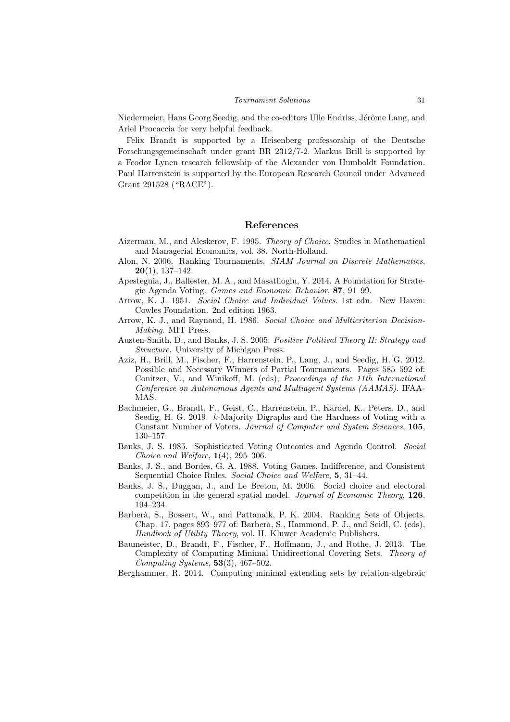Niedermeier, Hans Georg Seedig, and the co-editors Ulle Endriss, Jérôme Lang, and Ariel Procaccia for very helpful feedback.

Felix Brandt is supported by a Heisenberg professorship of the Deutsche Forschungsgemeinschaft under grant BR 2312/7-2. Markus Brill is supported by a Feodor Lynen research fellowship of the Alexander von Humboldt Foundation. Paul Harrenstein is supported by the European Research Council under Advanced Grant 291528 ("RACE").

# References

- Aizerman, M., and Aleskerov, F. 1995. Theory of Choice. Studies in Mathematical and Managerial Economics, vol. 38. North-Holland.
- Alon, N. 2006. Ranking Tournaments. SIAM Journal on Discrete Mathematics,  $20(1)$ , 137–142.
- Apesteguia, J., Ballester, M. A., and Masatlioglu, Y. 2014. A Foundation for Strategic Agenda Voting. Games and Economic Behavior, 87, 91–99.
- Arrow, K. J. 1951. Social Choice and Individual Values. 1st edn. New Haven: Cowles Foundation. 2nd edition 1963.
- Arrow, K. J., and Raynaud, H. 1986. Social Choice and Multicriterion Decision-Making. MIT Press.
- Austen-Smith, D., and Banks, J. S. 2005. Positive Political Theory II: Strategy and Structure. University of Michigan Press.
- Aziz, H., Brill, M., Fischer, F., Harrenstein, P., Lang, J., and Seedig, H. G. 2012. Possible and Necessary Winners of Partial Tournaments. Pages 585–592 of: Conitzer, V., and Winikoff, M. (eds), Proceedings of the 11th International Conference on Autonomous Agents and Multiagent Systems (AAMAS). IFAA-MAS.
- Bachmeier, G., Brandt, F., Geist, C., Harrenstein, P., Kardel, K., Peters, D., and Seedig, H. G. 2019. k-Majority Digraphs and the Hardness of Voting with a Constant Number of Voters. Journal of Computer and System Sciences, 105, 130–157.
- Banks, J. S. 1985. Sophisticated Voting Outcomes and Agenda Control. Social Choice and Welfare,  $1(4)$ , 295–306.
- Banks, J. S., and Bordes, G. A. 1988. Voting Games, Indifference, and Consistent Sequential Choice Rules. Social Choice and Welfare, 5, 31–44.
- Banks, J. S., Duggan, J., and Le Breton, M. 2006. Social choice and electoral competition in the general spatial model. Journal of Economic Theory, 126, 194–234.
- Barberà, S., Bossert, W., and Pattanaik, P. K. 2004. Ranking Sets of Objects. Chap. 17, pages 893–977 of: Barberà, S., Hammond, P. J., and Seidl, C. (eds), Handbook of Utility Theory, vol. II. Kluwer Academic Publishers.
- Baumeister, D., Brandt, F., Fischer, F., Hoffmann, J., and Rothe, J. 2013. The Complexity of Computing Minimal Unidirectional Covering Sets. Theory of Computing Systems,  $53(3)$ ,  $467-502$ .
- Berghammer, R. 2014. Computing minimal extending sets by relation-algebraic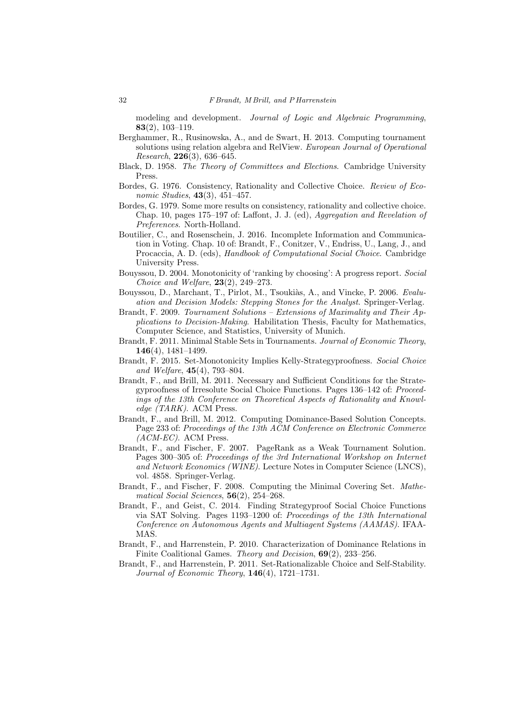modeling and development. Journal of Logic and Algebraic Programming, 83(2), 103–119.

- Berghammer, R., Rusinowska, A., and de Swart, H. 2013. Computing tournament solutions using relation algebra and RelView. European Journal of Operational Research, 226(3), 636–645.
- Black, D. 1958. The Theory of Committees and Elections. Cambridge University Press.
- Bordes, G. 1976. Consistency, Rationality and Collective Choice. Review of Economic Studies, 43(3), 451–457.
- Bordes, G. 1979. Some more results on consistency, rationality and collective choice. Chap. 10, pages 175–197 of: Laffont, J. J. (ed), Aggregation and Revelation of Preferences. North-Holland.
- Boutilier, C., and Rosenschein, J. 2016. Incomplete Information and Communication in Voting. Chap. 10 of: Brandt, F., Conitzer, V., Endriss, U., Lang, J., and Procaccia, A. D. (eds), *Handbook of Computational Social Choice*. Cambridge University Press.
- Bouyssou, D. 2004. Monotonicity of 'ranking by choosing': A progress report. Social *Choice and Welfare,* **23**(2), **249–273**.
- Bouyssou, D., Marchant, T., Pirlot, M., Tsoukiàs, A., and Vincke, P. 2006. Evaluation and Decision Models: Stepping Stones for the Analyst. Springer-Verlag.
- Brandt, F. 2009. Tournament Solutions Extensions of Maximality and Their Applications to Decision-Making. Habilitation Thesis, Faculty for Mathematics, Computer Science, and Statistics, University of Munich.
- Brandt, F. 2011. Minimal Stable Sets in Tournaments. Journal of Economic Theory, 146(4), 1481–1499.
- Brandt, F. 2015. Set-Monotonicity Implies Kelly-Strategyproofness. Social Choice and Welfare, 45(4), 793–804.
- Brandt, F., and Brill, M. 2011. Necessary and Sufficient Conditions for the Strategyproofness of Irresolute Social Choice Functions. Pages 136–142 of: Proceedings of the 13th Conference on Theoretical Aspects of Rationality and Knowledge (TARK). ACM Press.
- Brandt, F., and Brill, M. 2012. Computing Dominance-Based Solution Concepts. Page 233 of: Proceedings of the 13th ACM Conference on Electronic Commerce  $(ACM-EC)$ . ACM Press.
- Brandt, F., and Fischer, F. 2007. PageRank as a Weak Tournament Solution. Pages 300–305 of: Proceedings of the 3rd International Workshop on Internet and Network Economics (WINE). Lecture Notes in Computer Science (LNCS), vol. 4858. Springer-Verlag.
- Brandt, F., and Fischer, F. 2008. Computing the Minimal Covering Set. Mathematical Social Sciences, 56(2), 254–268.
- Brandt, F., and Geist, C. 2014. Finding Strategyproof Social Choice Functions via SAT Solving. Pages 1193–1200 of: Proceedings of the 13th International Conference on Autonomous Agents and Multiagent Systems (AAMAS). IFAA-MAS.
- Brandt, F., and Harrenstein, P. 2010. Characterization of Dominance Relations in Finite Coalitional Games. Theory and Decision, 69(2), 233–256.
- Brandt, F., and Harrenstein, P. 2011. Set-Rationalizable Choice and Self-Stability. Journal of Economic Theory, 146(4), 1721–1731.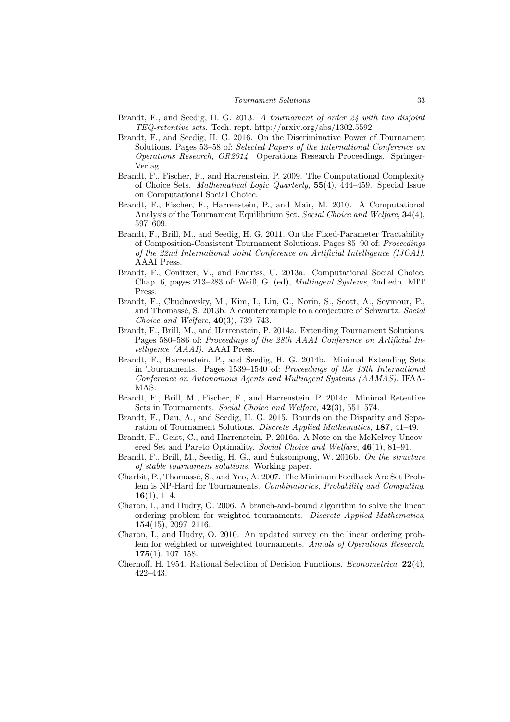- Brandt, F., and Seedig, H. G. 2013. A tournament of order 24 with two disjoint TEQ-retentive sets. Tech. rept. http://arxiv.org/abs/1302.5592.
- Brandt, F., and Seedig, H. G. 2016. On the Discriminative Power of Tournament Solutions. Pages 53–58 of: Selected Papers of the International Conference on Operations Research, OR2014. Operations Research Proceedings. Springer-Verlag.
- Brandt, F., Fischer, F., and Harrenstein, P. 2009. The Computational Complexity of Choice Sets. Mathematical Logic Quarterly, 55(4), 444–459. Special Issue on Computational Social Choice.
- Brandt, F., Fischer, F., Harrenstein, P., and Mair, M. 2010. A Computational Analysis of the Tournament Equilibrium Set. Social Choice and Welfare, 34(4), 597–609.
- Brandt, F., Brill, M., and Seedig, H. G. 2011. On the Fixed-Parameter Tractability of Composition-Consistent Tournament Solutions. Pages 85–90 of: Proceedings of the 22nd International Joint Conference on Artificial Intelligence (IJCAI). AAAI Press.
- Brandt, F., Conitzer, V., and Endriss, U. 2013a. Computational Social Choice. Chap. 6, pages 213–283 of: Weiß, G. (ed), Multiagent Systems, 2nd edn. MIT Press.
- Brandt, F., Chudnovsky, M., Kim, I., Liu, G., Norin, S., Scott, A., Seymour, P., and Thomassé, S. 2013b. A counterexample to a conjecture of Schwartz. Social Choice and Welfare,  $40(3)$ , 739–743.
- Brandt, F., Brill, M., and Harrenstein, P. 2014a. Extending Tournament Solutions. Pages 580–586 of: Proceedings of the 28th AAAI Conference on Artificial Intelligence (AAAI). AAAI Press.
- Brandt, F., Harrenstein, P., and Seedig, H. G. 2014b. Minimal Extending Sets in Tournaments. Pages 1539–1540 of: Proceedings of the 13th International Conference on Autonomous Agents and Multiagent Systems (AAMAS). IFAA-MAS.
- Brandt, F., Brill, M., Fischer, F., and Harrenstein, P. 2014c. Minimal Retentive Sets in Tournaments. Social Choice and Welfare, 42(3), 551–574.
- Brandt, F., Dau, A., and Seedig, H. G. 2015. Bounds on the Disparity and Separation of Tournament Solutions. Discrete Applied Mathematics, 187, 41–49.
- Brandt, F., Geist, C., and Harrenstein, P. 2016a. A Note on the McKelvey Uncovered Set and Pareto Optimality. Social Choice and Welfare, 46(1), 81–91.
- Brandt, F., Brill, M., Seedig, H. G., and Suksompong, W. 2016b. On the structure of stable tournament solutions. Working paper.
- Charbit, P., Thomassé, S., and Yeo, A. 2007. The Minimum Feedback Arc Set Problem is NP-Hard for Tournaments. Combinatorics, Probability and Computing,  $16(1), 1-4.$
- Charon, I., and Hudry, O. 2006. A branch-and-bound algorithm to solve the linear ordering problem for weighted tournaments. Discrete Applied Mathematics, 154(15), 2097–2116.
- Charon, I., and Hudry, O. 2010. An updated survey on the linear ordering problem for weighted or unweighted tournaments. Annals of Operations Research,  $175(1), 107-158.$
- Chernoff, H. 1954. Rational Selection of Decision Functions. Econometrica, 22(4), 422–443.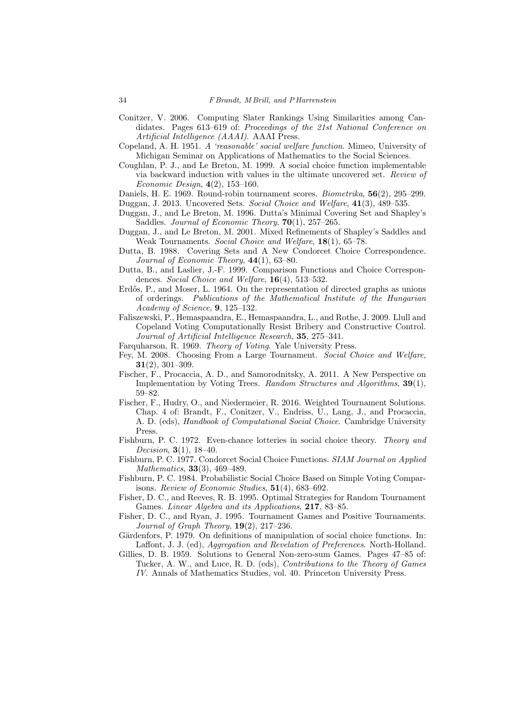- Conitzer, V. 2006. Computing Slater Rankings Using Similarities among Candidates. Pages 613–619 of: Proceedings of the 21st National Conference on Artificial Intelligence (AAAI). AAAI Press.
- Copeland, A. H. 1951. A 'reasonable' social welfare function. Mimeo, University of Michigan Seminar on Applications of Mathematics to the Social Sciences.
- Coughlan, P. J., and Le Breton, M. 1999. A social choice function implementable via backward induction with values in the ultimate uncovered set. Review of Economic Design, 4(2), 153–160.
- Daniels, H. E. 1969. Round-robin tournament scores. Biometrika, 56(2), 295–299.

Duggan, J. 2013. Uncovered Sets. Social Choice and Welfare, 41(3), 489–535.

- Duggan, J., and Le Breton, M. 1996. Dutta's Minimal Covering Set and Shapley's Saddles. Journal of Economic Theory,  $70(1)$ ,  $257-265$ .
- Duggan, J., and Le Breton, M. 2001. Mixed Refinements of Shapley's Saddles and Weak Tournaments. Social Choice and Welfare, 18(1), 65–78.
- Dutta, B. 1988. Covering Sets and A New Condorcet Choice Correspondence. Journal of Economic Theory, 44(1), 63–80.
- Dutta, B., and Laslier, J.-F. 1999. Comparison Functions and Choice Correspondences. Social Choice and Welfare, 16(4), 513–532.
- Erdős, P., and Moser, L. 1964. On the representation of directed graphs as unions of orderings. Publications of the Mathematical Institute of the Hungarian Academy of Science, 9, 125–132.
- Faliszewski, P., Hemaspaandra, E., Hemaspaandra, L., and Rothe, J. 2009. Llull and Copeland Voting Computationally Resist Bribery and Constructive Control. Journal of Artificial Intelligence Research, 35, 275–341.
- Farquharson, R. 1969. Theory of Voting. Yale University Press.
- Fey, M. 2008. Choosing From a Large Tournament. Social Choice and Welfare,  $31(2)$ , 301–309.
- Fischer, F., Procaccia, A. D., and Samorodnitsky, A. 2011. A New Perspective on Implementation by Voting Trees. Random Structures and Algorithms, 39(1), 59–82.
- Fischer, F., Hudry, O., and Niedermeier, R. 2016. Weighted Tournament Solutions. Chap. 4 of: Brandt, F., Conitzer, V., Endriss, U., Lang, J., and Procaccia, A. D. (eds), Handbook of Computational Social Choice. Cambridge University Press.
- Fishburn, P. C. 1972. Even-chance lotteries in social choice theory. Theory and Decision, 3(1), 18–40.
- Fishburn, P. C. 1977. Condorcet Social Choice Functions. SIAM Journal on Applied Mathematics, 33(3), 469–489.
- Fishburn, P. C. 1984. Probabilistic Social Choice Based on Simple Voting Comparisons. Review of Economic Studies, 51(4), 683–692.
- Fisher, D. C., and Reeves, R. B. 1995. Optimal Strategies for Random Tournament Games. Linear Algebra and its Applications, 217, 83–85.
- Fisher, D. C., and Ryan, J. 1995. Tournament Games and Positive Tournaments. Journal of Graph Theory,  $19(2)$ ,  $217-236$ .
- Gärdenfors, P. 1979. On definitions of manipulation of social choice functions. In: Laffont, J. J. (ed), *Aggregation and Revelation of Preferences*. North-Holland.
- Gillies, D. B. 1959. Solutions to General Non-zero-sum Games. Pages 47–85 of: Tucker, A. W., and Luce, R. D. (eds), Contributions to the Theory of Games

IV. Annals of Mathematics Studies, vol. 40. Princeton University Press.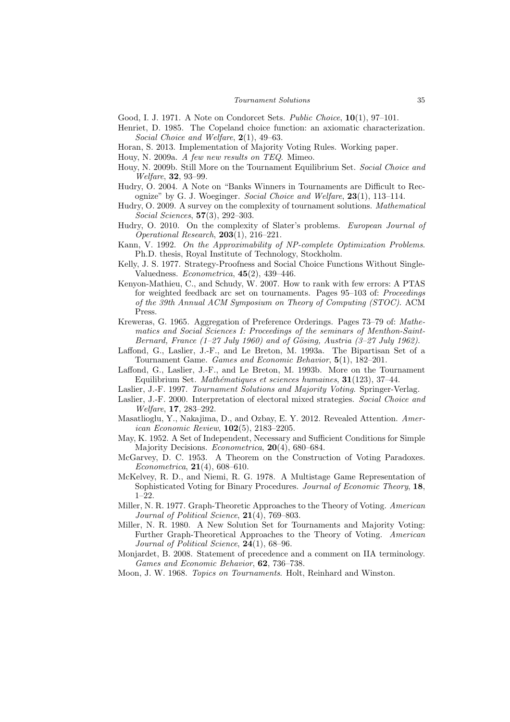Good, I. J. 1971. A Note on Condorcet Sets. Public Choice, 10(1), 97–101.

- Henriet, D. 1985. The Copeland choice function: an axiomatic characterization. Social Choice and Welfare, 2(1), 49–63.
- Horan, S. 2013. Implementation of Majority Voting Rules. Working paper.
- Houy, N. 2009a. A few new results on TEQ. Mimeo.
- Houy, N. 2009b. Still More on the Tournament Equilibrium Set. Social Choice and Welfare, 32, 93–99.
- Hudry, O. 2004. A Note on "Banks Winners in Tournaments are Difficult to Recognize" by G. J. Woeginger. Social Choice and Welfare, 23(1), 113–114.
- Hudry, O. 2009. A survey on the complexity of tournament solutions. Mathematical Social Sciences, 57(3), 292–303.
- Hudry, O. 2010. On the complexity of Slater's problems. European Journal of Operational Research,  $203(1)$ ,  $216-221$ .
- Kann, V. 1992. On the Approximability of NP-complete Optimization Problems. Ph.D. thesis, Royal Institute of Technology, Stockholm.
- Kelly, J. S. 1977. Strategy-Proofness and Social Choice Functions Without Single-Valuedness.  $Econometrica$ ,  $45(2)$ ,  $439-446$ .
- Kenyon-Mathieu, C., and Schudy, W. 2007. How to rank with few errors: A PTAS for weighted feedback arc set on tournaments. Pages 95–103 of: Proceedings of the 39th Annual ACM Symposium on Theory of Computing (STOC). ACM Press.
- Kreweras, G. 1965. Aggregation of Preference Orderings. Pages 73–79 of: Mathematics and Social Sciences I: Proceedings of the seminars of Menthon-Saint-Bernard, France  $(1-27 \text{ July } 1960)$  and of Gösing, Austria  $(3-27 \text{ July } 1962)$ .
- Laffond, G., Laslier, J.-F., and Le Breton, M. 1993a. The Bipartisan Set of a Tournament Game. Games and Economic Behavior, 5(1), 182–201.
- Laffond, G., Laslier, J.-F., and Le Breton, M. 1993b. More on the Tournament Equilibrium Set. Mathématiques et sciences humaines, 31(123), 37-44.
- Laslier, J.-F. 1997. Tournament Solutions and Majority Voting. Springer-Verlag.
- Laslier, J.-F. 2000. Interpretation of electoral mixed strategies. Social Choice and Welfare, 17, 283–292.
- Masatlioglu, Y., Nakajima, D., and Ozbay, E. Y. 2012. Revealed Attention. American Economic Review, 102(5), 2183–2205.
- May, K. 1952. A Set of Independent, Necessary and Sufficient Conditions for Simple Majority Decisions. Econometrica, 20(4), 680–684.
- McGarvey, D. C. 1953. A Theorem on the Construction of Voting Paradoxes. Econometrica, 21(4), 608–610.
- McKelvey, R. D., and Niemi, R. G. 1978. A Multistage Game Representation of Sophisticated Voting for Binary Procedures. Journal of Economic Theory, 18, 1–22.
- Miller, N. R. 1977. Graph-Theoretic Approaches to the Theory of Voting. American Journal of Political Science, 21(4), 769–803.
- Miller, N. R. 1980. A New Solution Set for Tournaments and Majority Voting: Further Graph-Theoretical Approaches to the Theory of Voting. American Journal of Political Science, 24(1), 68-96.
- Monjardet, B. 2008. Statement of precedence and a comment on IIA terminology. Games and Economic Behavior, 62, 736–738.
- Moon, J. W. 1968. Topics on Tournaments. Holt, Reinhard and Winston.